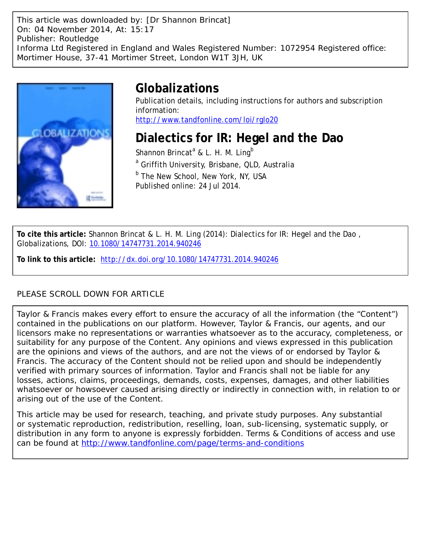This article was downloaded by: [Dr Shannon Brincat] On: 04 November 2014, At: 15:17 Publisher: Routledge Informa Ltd Registered in England and Wales Registered Number: 1072954 Registered office: Mortimer House, 37-41 Mortimer Street, London W1T 3JH, UK



# **Globalizations**

Publication details, including instructions for authors and subscription information: <http://www.tandfonline.com/loi/rglo20>

# **Dialectics for IR: Hegel and the Dao**

Shannon Brincat<sup>a</sup> & L. H. M. Ling<sup>b</sup> <sup>a</sup> Griffith University, Brisbane, QLD, Australia  $^{\rm b}$  The New School, New York, NY, USA Published online: 24 Jul 2014.

**To cite this article:** Shannon Brincat & L. H. M. Ling (2014): Dialectics for IR: Hegel and the Dao , Globalizations, DOI: [10.1080/14747731.2014.940246](http://www.tandfonline.com/action/showCitFormats?doi=10.1080/14747731.2014.940246)

**To link to this article:** <http://dx.doi.org/10.1080/14747731.2014.940246>

# PLEASE SCROLL DOWN FOR ARTICLE

Taylor & Francis makes every effort to ensure the accuracy of all the information (the "Content") contained in the publications on our platform. However, Taylor & Francis, our agents, and our licensors make no representations or warranties whatsoever as to the accuracy, completeness, or suitability for any purpose of the Content. Any opinions and views expressed in this publication are the opinions and views of the authors, and are not the views of or endorsed by Taylor & Francis. The accuracy of the Content should not be relied upon and should be independently verified with primary sources of information. Taylor and Francis shall not be liable for any losses, actions, claims, proceedings, demands, costs, expenses, damages, and other liabilities whatsoever or howsoever caused arising directly or indirectly in connection with, in relation to or arising out of the use of the Content.

This article may be used for research, teaching, and private study purposes. Any substantial or systematic reproduction, redistribution, reselling, loan, sub-licensing, systematic supply, or distribution in any form to anyone is expressly forbidden. Terms & Conditions of access and use can be found at <http://www.tandfonline.com/page/terms-and-conditions>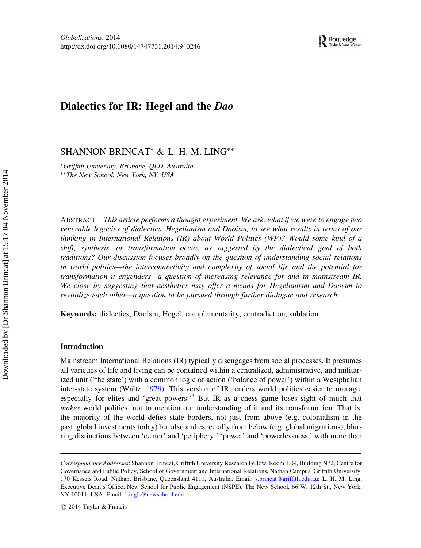# Dialectics for IR: Hegel and the Dao

SHANNON BRINCAT<sup>∗</sup> & L. H. M. LING∗∗

∗Griffith University, Brisbane, QLD, Australia ∗∗The New School, New York, NY, USA

ABSTRACT This article performs a thought experiment. We ask: what if we were to engage two venerable legacies of dialectics, Hegelianism and Daoism, to see what results in terms of our thinking in International Relations (IR) about World Politics (WP)? Would some kind of a shift, synthesis, or transformation occur, as suggested by the dialectical goal of both traditions? Our discussion focuses broadly on the question of understanding social relations in world politics—the interconnectivity and complexity of social life and the potential for transformation it engenders—a question of increasing relevance for and in mainstream IR. We close by suggesting that aesthetics may offer a means for Hegelianism and Daoism to revitalize each other—a question to be pursued through further dialogue and research.

Keywords: dialectics, Daoism, Hegel, complementarity, contradiction, sublation

# Introduction

Mainstream International Relations (IR) typically disengages from social processes. It presumes all varieties of life and living can be contained within a centralized, administrative, and militarized unit ('the state') with a common logic of action ('balance of power') within a Westphalian inter-state system (Waltz, [1979\)](#page-26-0). This version of IR renders world politics easier to manage, especially for elites and 'great powers.<sup>[1](#page-23-0)</sup> But IR as a chess game loses sight of much that makes world politics, not to mention our understanding of it and its transformation. That is, the majority of the world defies state borders, not just from above (e.g. colonialism in the past, global investments today) but also and especially from below (e.g. global migrations), blurring distinctions between 'center' and 'periphery,' 'power' and 'powerlessness,' with more than

Correspondence Addresses: Shannon Brincat, Griffith University Research Fellow, Room 1.09, Building N72, Centre for Governance and Public Policy, School of Government and International Relations, Nathan Campus, Griffith University, 170 Kessels Road, Nathan, Brisbane, Queensland 4111, Australia. Email: [s.brincat@griffith.edu.au;](mailto:s.brincat@griffith.edu.au) L. H. M. Ling, Executive Dean's Office, New School for Public Engagement (NSPE), The New School, 66 W. 12th St., New York, NY 10011, USA. Email: [LingL@newschool.edu](mailto:LingL@newschool.edu)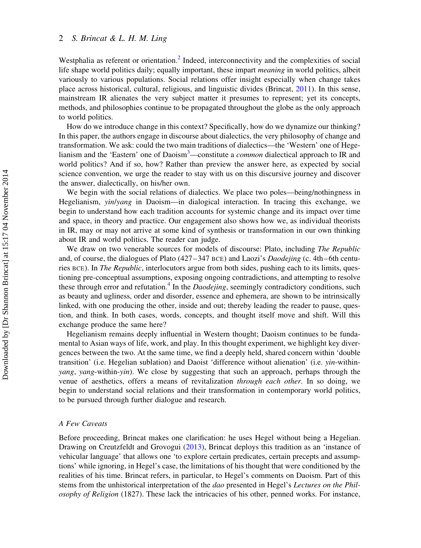Westphalia as referent or orientation.<sup>2</sup> Indeed, interconnectivity and the complexities of social life shape world politics daily; equally important, these impart *meaning* in world politics, albeit variously to various populations. Social relations offer insight especially when change takes place across historical, cultural, religious, and linguistic divides (Brincat, [2011\)](#page-25-0). In this sense, mainstream IR alienates the very subject matter it presumes to represent; yet its concepts, methods, and philosophies continue to be propagated throughout the globe as the only approach to world politics.

How do we introduce change in this context? Specifically, how do we dynamize our thinking? In this paper, the authors engage in discourse about dialectics, the very philosophy of change and transformation. We ask: could the two main traditions of dialectics—the 'Western' one of Hege-lianism and the 'Eastern' one of Daoism<sup>[3](#page-24-0)</sup>—constitute a *common* dialectical approach to IR and world politics? And if so, how? Rather than preview the answer here, as expected by social science convention, we urge the reader to stay with us on this discursive journey and discover the answer, dialectically, on his/her own.

We begin with the social relations of dialectics. We place two poles—being/nothingness in Hegelianism, yin/yang in Daoism—in dialogical interaction. In tracing this exchange, we begin to understand how each tradition accounts for systemic change and its impact over time and space, in theory and practice. Our engagement also shows how we, as individual theorists in IR, may or may not arrive at some kind of synthesis or transformation in our own thinking about IR and world politics. The reader can judge.

We draw on two venerable sources for models of discourse: Plato, including *The Republic* and, of course, the dialogues of Plato  $(427-347 \text{ BCE})$  and Laozi's *Daodejing* (c. 4th–6th centuries BCE). In The Republic, interlocutors argue from both sides, pushing each to its limits, questioning pre-conceptual assumptions, exposing ongoing contradictions, and attempting to resolve these through error and refutation.<sup>4</sup> In the *Daodejing*, seemingly contradictory conditions, such as beauty and ugliness, order and disorder, essence and ephemera, are shown to be intrinsically linked, with one producing the other, inside and out; thereby leading the reader to pause, question, and think. In both cases, words, concepts, and thought itself move and shift. Will this exchange produce the same here?

Hegelianism remains deeply influential in Western thought; Daoism continues to be fundamental to Asian ways of life, work, and play. In this thought experiment, we highlight key divergences between the two. At the same time, we find a deeply held, shared concern within 'double transition' (i.e. Hegelian sublation) and Daoist 'difference without alienation' (i.e. yin-withinyang, yang-within-yin). We close by suggesting that such an approach, perhaps through the venue of aesthetics, offers a means of revitalization through each other. In so doing, we begin to understand social relations and their transformation in contemporary world politics, to be pursued through further dialogue and research.

# A Few Caveats

Before proceeding, Brincat makes one clarification: he uses Hegel without being a Hegelian. Drawing on Creutzfeldt and Grovogui ([2013\)](#page-25-0), Brincat deploys this tradition as an 'instance of vehicular language' that allows one 'to explore certain predicates, certain precepts and assumptions' while ignoring, in Hegel's case, the limitations of his thought that were conditioned by the realities of his time. Brincat refers, in particular, to Hegel's comments on Daoism. Part of this stems from the unhistorical interpretation of the dao presented in Hegel's Lectures on the Philosophy of Religion (1827). These lack the intricacies of his other, penned works. For instance,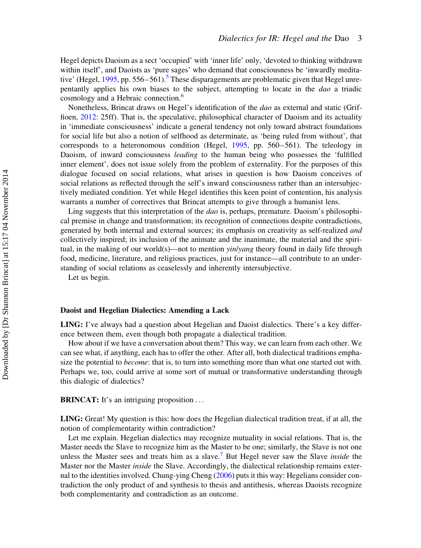Hegel depicts Daoism as a sect 'occupied' with 'inner life' only, 'devoted to thinking withdrawn within itself', and Daoists as 'pure sages' who demand that consciousness be 'inwardly medita-tive' (Hegel, [1995](#page-25-0), pp. [5](#page-24-0)56–561).<sup>5</sup> These disparagements are problematic given that Hegel unrepentantly applies his own biases to the subject, attempting to locate in the dao a triadic cosmology and a Hebraic connection.<sup>[6](#page-24-0)</sup>

Nonetheless, Brincat draws on Hegel's identification of the dao as external and static (Griffioen, [2012](#page-25-0): 25ff). That is, the speculative, philosophical character of Daoism and its actuality in 'immediate consciousness' indicate a general tendency not only toward abstract foundations for social life but also a notion of selfhood as determinate, as 'being ruled from without', that corresponds to a heteronomous condition (Hegel, [1995,](#page-25-0) pp. 560–561). The teleology in Daoism, of inward consciousness *leading* to the human being who possesses the 'fulfilled inner element', does not issue solely from the problem of externality. For the purposes of this dialogue focused on social relations, what arises in question is how Daoism conceives of social relations as reflected through the self's inward consciousness rather than an intersubjectively mediated condition. Yet while Hegel identifies this keen point of contention, his analysis warrants a number of correctives that Brincat attempts to give through a humanist lens.

Ling suggests that this interpretation of the *dao* is, perhaps, premature. Daoism's philosophical premise in change and transformation; its recognition of connections despite contradictions, generated by both internal and external sources; its emphasis on creativity as self-realized and collectively inspired; its inclusion of the animate and the inanimate, the material and the spiritual, in the making of our world(s)—not to mention  $\frac{\sin \theta}{\sin \theta}$  theory found in daily life through food, medicine, literature, and religious practices, just for instance—all contribute to an understanding of social relations as ceaselessly and inherently intersubjective.

Let us begin.

#### Daoist and Hegelian Dialectics: Amending a Lack

LING: I've always had a question about Hegelian and Daoist dialectics. There's a key difference between them, even though both propagate a dialectical tradition.

How about if we have a conversation about them? This way, we can learn from each other. We can see what, if anything, each has to offer the other. After all, both dialectical traditions emphasize the potential to *become*: that is, to turn into something more than what one started out with. Perhaps we, too, could arrive at some sort of mutual or transformative understanding through this dialogic of dialectics?

BRINCAT: It's an intriguing proposition ...

LING: Great! My question is this: how does the Hegelian dialectical tradition treat, if at all, the notion of complementarity within contradiction?

Let me explain. Hegelian dialectics may recognize mutuality in social relations. That is, the Master needs the Slave to recognize him as the Master to be one; similarly, the Slave is not one unless the Master sees and treats him as a slave.<sup>[7](#page-24-0)</sup> But Hegel never saw the Slave *inside* the Master nor the Master inside the Slave. Accordingly, the dialectical relationship remains external to the identities involved. Chung-ying Cheng [\(2006](#page-25-0)) puts it this way: Hegelians consider contradiction the only product of and synthesis to thesis and antithesis, whereas Daoists recognize both complementarity and contradiction as an outcome.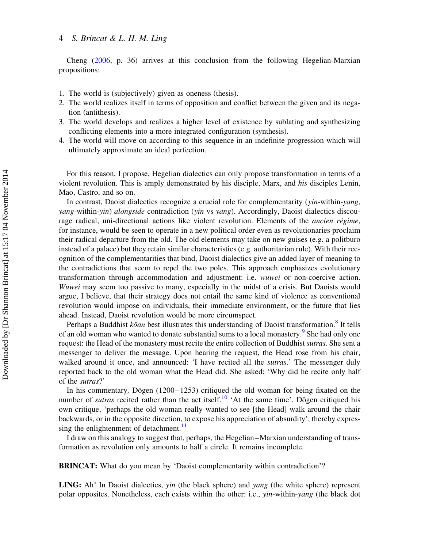Cheng [\(2006](#page-25-0), p. 36) arrives at this conclusion from the following Hegelian-Marxian propositions:

- 1. The world is (subjectively) given as oneness (thesis).
- 2. The world realizes itself in terms of opposition and conflict between the given and its negation (antithesis).
- 3. The world develops and realizes a higher level of existence by sublating and synthesizing conflicting elements into a more integrated configuration (synthesis).
- 4. The world will move on according to this sequence in an indefinite progression which will ultimately approximate an ideal perfection.

For this reason, I propose, Hegelian dialectics can only propose transformation in terms of a violent revolution. This is amply demonstrated by his disciple, Marx, and his disciples Lenin, Mao, Castro, and so on.

In contrast, Daoist dialectics recognize a crucial role for complementarity (yin-within-yang, yang-within-yin) alongside contradiction (yin vs yang). Accordingly, Daoist dialectics discourage radical, uni-directional actions like violent revolution. Elements of the *ancien régime*, for instance, would be seen to operate in a new political order even as revolutionaries proclaim their radical departure from the old. The old elements may take on new guises (e.g. a politburo instead of a palace) but they retain similar characteristics (e.g. authoritarian rule). With their recognition of the complementarities that bind, Daoist dialectics give an added layer of meaning to the contradictions that seem to repel the two poles. This approach emphasizes evolutionary transformation through accommodation and adjustment: i.e. wuwei or non-coercive action. Wuwei may seem too passive to many, especially in the midst of a crisis. But Daoists would argue, I believe, that their strategy does not entail the same kind of violence as conventional revolution would impose on individuals, their immediate environment, or the future that lies ahead. Instead, Daoist revolution would be more circumspect.

Perhaps a Buddhist  $k\bar{o}$ an best illustrates this understanding of Daoist transformation.<sup>[8](#page-24-0)</sup> It tells of an old woman who wanted to donate substantial sums to a local monastery.<sup>[9](#page-24-0)</sup> She had only one request: the Head of the monastery must recite the entire collection of Buddhist sutras. She sent a messenger to deliver the message. Upon hearing the request, the Head rose from his chair, walked around it once, and announced: 'I have recited all the *sutras*.' The messenger duly reported back to the old woman what the Head did. She asked: 'Why did he recite only half of the sutras?'

In his commentary, Dōgen  $(1200-1253)$  critiqued the old woman for being fixated on the number of *sutras* recited rather than the act itself.<sup>[10](#page-24-0)</sup> 'At the same time', Dōgen critiqued his own critique, 'perhaps the old woman really wanted to see [the Head] walk around the chair backwards, or in the opposite direction, to expose his appreciation of absurdity', thereby expressing the enlightenment of detachment. $\frac{11}{11}$  $\frac{11}{11}$  $\frac{11}{11}$ 

I draw on this analogy to suggest that, perhaps, the Hegelian–Marxian understanding of transformation as revolution only amounts to half a circle. It remains incomplete.

BRINCAT: What do you mean by 'Daoist complementarity within contradiction'?

LING: Ah! In Daoist dialectics, yin (the black sphere) and yang (the white sphere) represent polar opposites. Nonetheless, each exists within the other: i.e., yin-within-yang (the black dot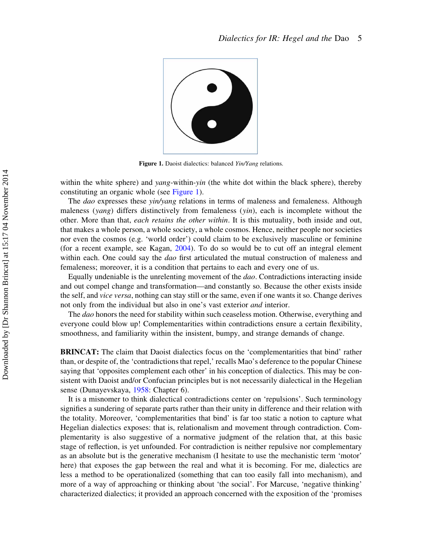

Figure 1. Daoist dialectics: balanced Yin/Yang relations.

within the white sphere) and *yang*-within-*yin* (the white dot within the black sphere), thereby constituting an organic whole (see Figure 1).

The dao expresses these  $\sin/\gamma$ ang relations in terms of maleness and femaleness. Although maleness (*yang*) differs distinctively from femaleness (*yin*), each is incomplete without the other. More than that, each retains the other within. It is this mutuality, both inside and out, that makes a whole person, a whole society, a whole cosmos. Hence, neither people nor societies nor even the cosmos (e.g. 'world order') could claim to be exclusively masculine or feminine (for a recent example, see Kagan, [2004\)](#page-26-0). To do so would be to cut off an integral element within each. One could say the *dao* first articulated the mutual construction of maleness and femaleness; moreover, it is a condition that pertains to each and every one of us.

Equally undeniable is the unrelenting movement of the dao. Contradictions interacting inside and out compel change and transformation—and constantly so. Because the other exists inside the self, and vice versa, nothing can stay still or the same, even if one wants it so. Change derives not only from the individual but also in one's vast exterior and interior.

The *dao* honors the need for stability within such ceaseless motion. Otherwise, everything and everyone could blow up! Complementarities within contradictions ensure a certain flexibility, smoothness, and familiarity within the insistent, bumpy, and strange demands of change.

BRINCAT: The claim that Daoist dialectics focus on the 'complementarities that bind' rather than, or despite of, the 'contradictions that repel,' recalls Mao's deference to the popular Chinese saying that 'opposites complement each other' in his conception of dialectics. This may be consistent with Daoist and/or Confucian principles but is not necessarily dialectical in the Hegelian sense (Dunayevskaya, [1958](#page-25-0): Chapter 6).

It is a misnomer to think dialectical contradictions center on 'repulsions'. Such terminology signifies a sundering of separate parts rather than their unity in difference and their relation with the totality. Moreover, 'complementarities that bind' is far too static a notion to capture what Hegelian dialectics exposes: that is, relationalism and movement through contradiction. Complementarity is also suggestive of a normative judgment of the relation that, at this basic stage of reflection, is yet unfounded. For contradiction is neither repulsive nor complementary as an absolute but is the generative mechanism (I hesitate to use the mechanistic term 'motor' here) that exposes the gap between the real and what it is becoming. For me, dialectics are less a method to be operationalized (something that can too easily fall into mechanism), and more of a way of approaching or thinking about 'the social'. For Marcuse, 'negative thinking' characterized dialectics; it provided an approach concerned with the exposition of the 'promises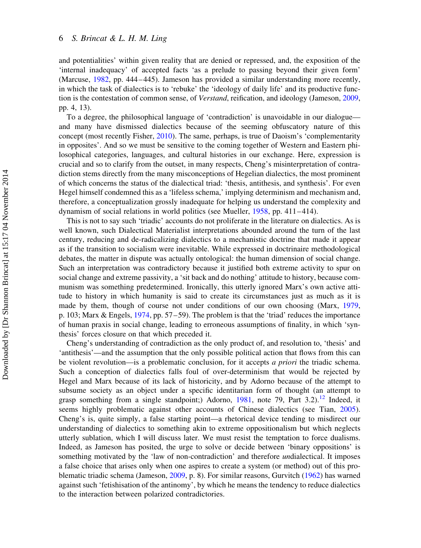and potentialities' within given reality that are denied or repressed, and, the exposition of the 'internal inadequacy' of accepted facts 'as a prelude to passing beyond their given form' (Marcuse, [1982,](#page-26-0) pp. 444–445). Jameson has provided a similar understanding more recently, in which the task of dialectics is to 'rebuke' the 'ideology of daily life' and its productive function is the contestation of common sense, of Verstand, reification, and ideology (Jameson, [2009](#page-26-0), pp. 4, 13).

To a degree, the philosophical language of 'contradiction' is unavoidable in our dialogue and many have dismissed dialectics because of the seeming obfuscatory nature of this concept (most recently Fisher, [2010](#page-25-0)). The same, perhaps, is true of Daoism's 'complementarity in opposites'. And so we must be sensitive to the coming together of Western and Eastern philosophical categories, languages, and cultural histories in our exchange. Here, expression is crucial and so to clarify from the outset, in many respects, Cheng's misinterpretation of contradiction stems directly from the many misconceptions of Hegelian dialectics, the most prominent of which concerns the status of the dialectical triad: 'thesis, antithesis, and synthesis'. For even Hegel himself condemned this as a 'lifeless schema,' implying determinism and mechanism and, therefore, a conceptualization grossly inadequate for helping us understand the complexity and dynamism of social relations in world politics (see Mueller, [1958](#page-26-0), pp. 411–414).

This is not to say such 'triadic' accounts do not proliferate in the literature on dialectics. As is well known, such Dialectical Materialist interpretations abounded around the turn of the last century, reducing and de-radicalizing dialectics to a mechanistic doctrine that made it appear as if the transition to socialism were inevitable. While expressed in doctrinaire methodological debates, the matter in dispute was actually ontological: the human dimension of social change. Such an interpretation was contradictory because it justified both extreme activity to spur on social change and extreme passivity, a 'sit back and do nothing' attitude to history, because communism was something predetermined. Ironically, this utterly ignored Marx's own active attitude to history in which humanity is said to create its circumstances just as much as it is made by them, though of course not under conditions of our own choosing (Marx, [1979](#page-26-0), p. 103; Marx & Engels, [1974](#page-26-0), pp. 57–59). The problem is that the 'triad' reduces the importance of human praxis in social change, leading to erroneous assumptions of finality, in which 'synthesis' forces closure on that which preceded it.

Cheng's understanding of contradiction as the only product of, and resolution to, 'thesis' and 'antithesis'—and the assumption that the only possible political action that flows from this can be violent revolution—is a problematic conclusion, for it accepts a priori the triadic schema. Such a conception of dialectics falls foul of over-determinism that would be rejected by Hegel and Marx because of its lack of historicity, and by Adorno because of the attempt to subsume society as an object under a specific identitarian form of thought (an attempt to grasp something from a single standpoint;) Adorno, [1981,](#page-25-0) note 79, Part 3.2).<sup>[12](#page-24-0)</sup> Indeed, it seems highly problematic against other accounts of Chinese dialectics (see Tian, [2005](#page-26-0)). Cheng's is, quite simply, a false starting point—a rhetorical device tending to misdirect our understanding of dialectics to something akin to extreme oppositionalism but which neglects utterly sublation, which I will discuss later. We must resist the temptation to force dualisms. Indeed, as Jameson has posited, the urge to solve or decide between 'binary oppositions' is something motivated by the 'law of non-contradiction' and therefore *un*dialectical. It imposes a false choice that arises only when one aspires to create a system (or method) out of this problematic triadic schema (Jameson, [2009,](#page-26-0) p. 8). For similar reasons, Gurvitch ([1962\)](#page-25-0) has warned against such 'fetishisation of the antinomy', by which he means the tendency to reduce dialectics to the interaction between polarized contradictories.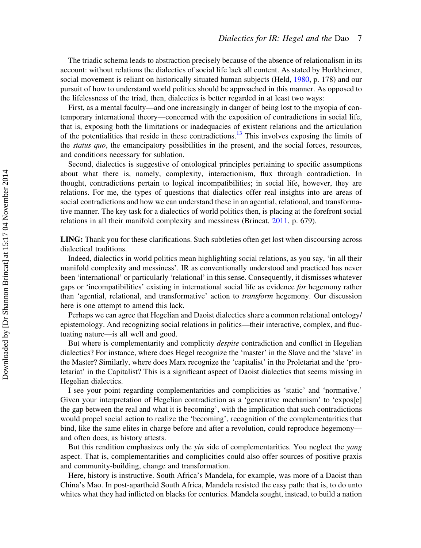The triadic schema leads to abstraction precisely because of the absence of relationalism in its account: without relations the dialectics of social life lack all content. As stated by Horkheimer, social movement is reliant on historically situated human subjects (Held, [1980,](#page-26-0) p. 178) and our pursuit of how to understand world politics should be approached in this manner. As opposed to the lifelessness of the triad, then, dialectics is better regarded in at least two ways:

First, as a mental faculty—and one increasingly in danger of being lost to the myopia of contemporary international theory—concerned with the exposition of contradictions in social life, that is, exposing both the limitations or inadequacies of existent relations and the articulation of the potentialities that reside in these contradictions.<sup>[13](#page-24-0)</sup> This involves exposing the limits of the *status quo*, the emancipatory possibilities in the present, and the social forces, resources, and conditions necessary for sublation.

Second, dialectics is suggestive of ontological principles pertaining to specific assumptions about what there is, namely, complexity, interactionism, flux through contradiction. In thought, contradictions pertain to logical incompatibilities; in social life, however, they are relations. For me, the types of questions that dialectics offer real insights into are areas of social contradictions and how we can understand these in an agential, relational, and transformative manner. The key task for a dialectics of world politics then, is placing at the forefront social relations in all their manifold complexity and messiness (Brincat, [2011](#page-25-0), p. 679).

LING: Thank you for these clarifications. Such subtleties often get lost when discoursing across dialectical traditions.

Indeed, dialectics in world politics mean highlighting social relations, as you say, 'in all their manifold complexity and messiness'. IR as conventionally understood and practiced has never been 'international' or particularly 'relational' in this sense. Consequently, it dismisses whatever gaps or 'incompatibilities' existing in international social life as evidence for hegemony rather than 'agential, relational, and transformative' action to transform hegemony. Our discussion here is one attempt to amend this lack.

Perhaps we can agree that Hegelian and Daoist dialectics share a common relational ontology/ epistemology. And recognizing social relations in politics—their interactive, complex, and fluctuating nature—is all well and good.

But where is complementarity and complicity *despite* contradiction and conflict in Hegelian dialectics? For instance, where does Hegel recognize the 'master' in the Slave and the 'slave' in the Master? Similarly, where does Marx recognize the 'capitalist' in the Proletariat and the 'proletariat' in the Capitalist? This is a significant aspect of Daoist dialectics that seems missing in Hegelian dialectics.

I see your point regarding complementarities and complicities as 'static' and 'normative.' Given your interpretation of Hegelian contradiction as a 'generative mechanism' to 'expos[e] the gap between the real and what it is becoming', with the implication that such contradictions would propel social action to realize the 'becoming', recognition of the complementarities that bind, like the same elites in charge before and after a revolution, could reproduce hegemony and often does, as history attests.

But this rendition emphasizes only the *yin* side of complementarities. You neglect the *yang* aspect. That is, complementarities and complicities could also offer sources of positive praxis and community-building, change and transformation.

Here, history is instructive. South Africa's Mandela, for example, was more of a Daoist than China's Mao. In post-apartheid South Africa, Mandela resisted the easy path: that is, to do unto whites what they had inflicted on blacks for centuries. Mandela sought, instead, to build a nation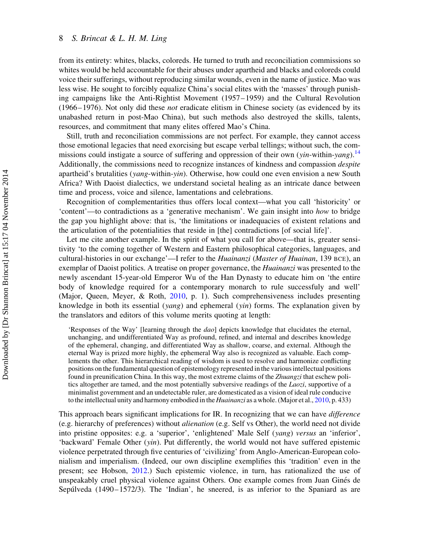from its entirety: whites, blacks, coloreds. He turned to truth and reconciliation commissions so whites would be held accountable for their abuses under apartheid and blacks and coloreds could voice their sufferings, without reproducing similar wounds, even in the name of justice. Mao was less wise. He sought to forcibly equalize China's social elites with the 'masses' through punishing campaigns like the Anti-Rightist Movement (1957–1959) and the Cultural Revolution (1966–1976). Not only did these not eradicate elitism in Chinese society (as evidenced by its unabashed return in post-Mao China), but such methods also destroyed the skills, talents, resources, and commitment that many elites offered Mao's China.

Still, truth and reconciliation commissions are not perfect. For example, they cannot access those emotional legacies that need exorcising but escape verbal tellings; without such, the com-missions could instigate a source of suffering and oppression of their own (yin-within-yang).<sup>[14](#page-24-0)</sup> Additionally, the commissions need to recognize instances of kindness and compassion despite apartheid's brutalities ( $\gamma$ ang-within- $\gamma$ in). Otherwise, how could one even envision a new South Africa? With Daoist dialectics, we understand societal healing as an intricate dance between time and process, voice and silence, lamentations and celebrations.

Recognition of complementarities thus offers local context—what you call 'historicity' or 'content'—to contradictions as a 'generative mechanism'. We gain insight into how to bridge the gap you highlight above: that is, 'the limitations or inadequacies of existent relations and the articulation of the potentialities that reside in [the] contradictions [of social life]'.

Let me cite another example. In the spirit of what you call for above—that is, greater sensitivity 'to the coming together of Western and Eastern philosophical categories, languages, and cultural-histories in our exchange'—I refer to the *Huainanzi (Master of Huainan*, 139 BCE), an exemplar of Daoist politics. A treatise on proper governance, the *Huainanzi* was presented to the newly ascendant 15-year-old Emperor Wu of the Han Dynasty to educate him on 'the entire body of knowledge required for a contemporary monarch to rule successfuly and well' (Major, Queen, Meyer, & Roth, [2010](#page-26-0), p. 1). Such comprehensiveness includes presenting knowledge in both its essential (*yang*) and ephemeral (*yin*) forms. The explanation given by the translators and editors of this volume merits quoting at length:

'Responses of the Way' [learning through the dao] depicts knowledge that elucidates the eternal, unchanging, and undifferentiated Way as profound, refined, and internal and describes knowledge of the ephemeral, changing, and differentiated Way as shallow, coarse, and external. Although the eternal Way is prized more highly, the ephemeral Way also is recognized as valuable. Each complements the other. This hierarchical reading of wisdom is used to resolve and harmonize conflicting positions on the fundamental question of epistemology represented in the various intellectual positions found in preunification China. In this way, the most extreme claims of the Zhuangzi that eschew politics altogether are tamed, and the most potentially subversive readings of the *Laozi*, supportive of a minimalist government and an undetectable ruler, are domesticated as a vision of ideal rule conducive to the intellectual unity and harmony embodied in the Huainanzi as a whole. (Major et al., [2010,](#page-26-0) p. 433)

This approach bears significant implications for IR. In recognizing that we can have *difference* (e.g. hierarchy of preferences) without alienation (e.g. Self vs Other), the world need not divide into pristine opposites: e.g. a 'superior', 'enlightened' Male Self (yang) versus an 'inferior', 'backward' Female Other (yin). Put differently, the world would not have suffered epistemic violence perpetrated through five centuries of 'civilizing' from Anglo-American-European colonialism and imperialism. (Indeed, our own discipline exemplifies this 'tradition' even in the present; see Hobson, [2012.](#page-26-0)) Such epistemic violence, in turn, has rationalized the use of unspeakably cruel physical violence against Others. One example comes from Juan Ginés de Sepú $\lvert \text{Veda} \rvert (1490 - 1572/3)$ . The 'Indian', he sneered, is as inferior to the Spaniard as are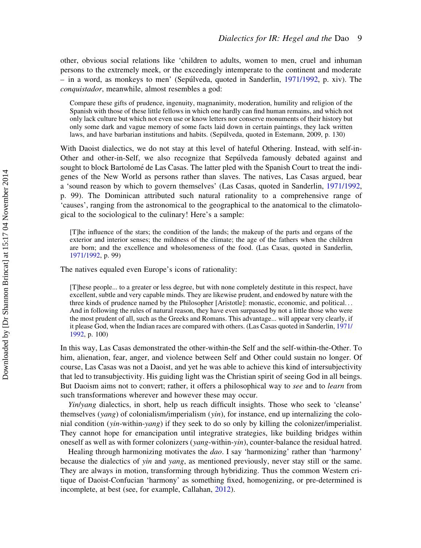other, obvious social relations like 'children to adults, women to men, cruel and inhuman persons to the extremely meek, or the exceedingly intemperate to the continent and moderate – in a word, as monkeys to men' (Sepu´lveda, quoted in Sanderlin, [1971/1992,](#page-26-0) p. xiv). The conquistador, meanwhile, almost resembles a god:

Compare these gifts of prudence, ingenuity, magnanimity, moderation, humility and religion of the Spanish with those of these little fellows in which one hardly can find human remains, and which not only lack culture but which not even use or know letters nor conserve monuments of their history but only some dark and vague memory of some facts laid down in certain paintings, they lack written laws, and have barbarian institutions and habits. (Sepúlveda, quoted in Estemann, 2009, p. 130)

With Daoist dialectics, we do not stay at this level of hateful Othering. Instead, with self-in-Other and other-in-Self, we also recognize that Sepúlveda famously debated against and sought to block Bartolomé de Las Casas. The latter pled with the Spanish Court to treat the indigenes of the New World as persons rather than slaves. The natives, Las Casas argued, bear a 'sound reason by which to govern themselves' (Las Casas, quoted in Sanderlin, [1971/1992](#page-26-0), p. 99). The Dominican attributed such natural rationality to a comprehensive range of 'causes', ranging from the astronomical to the geographical to the anatomical to the climatological to the sociological to the culinary! Here's a sample:

[T]he influence of the stars; the condition of the lands; the makeup of the parts and organs of the exterior and interior senses; the mildness of the climate; the age of the fathers when the children are born; and the excellence and wholesomeness of the food. (Las Casas, quoted in Sanderlin, [1971/1992](#page-26-0), p. 99)

The natives equaled even Europe's icons of rationality:

[T]hese people... to a greater or less degree, but with none completely destitute in this respect, have excellent, subtle and very capable minds. They are likewise prudent, and endowed by nature with the three kinds of prudence named by the Philosopher [Aristotle]: monastic, economic, and political... And in following the rules of natural reason, they have even surpassed by not a little those who were the most prudent of all, such as the Greeks and Romans. This advantage... will appear very clearly, if it please God, when the Indian races are compared with others. (Las Casas quoted in Sanderlin, [1971/](#page-26-0) [1992,](#page-26-0) p. 100)

In this way, Las Casas demonstrated the other-within-the Self and the self-within-the-Other. To him, alienation, fear, anger, and violence between Self and Other could sustain no longer. Of course, Las Casas was not a Daoist, and yet he was able to achieve this kind of intersubjectivity that led to transubjectivity. His guiding light was the Christian spirit of seeing God in all beings. But Daoism aims not to convert; rather, it offers a philosophical way to see and to learn from such transformations wherever and however these may occur.

Yin/yang dialectics, in short, help us reach difficult insights. Those who seek to 'cleanse' themselves (yang) of colonialism/imperialism (yin), for instance, end up internalizing the colonial condition (yin-within-yang) if they seek to do so only by killing the colonizer/imperialist. They cannot hope for emancipation until integrative strategies, like building bridges within oneself as well as with former colonizers (yang-within-yin), counter-balance the residual hatred.

Healing through harmonizing motivates the *dao*. I say 'harmonizing' rather than 'harmony' because the dialectics of yin and yang, as mentioned previously, never stay still or the same. They are always in motion, transforming through hybridizing. Thus the common Western critique of Daoist-Confucian 'harmony' as something fixed, homogenizing, or pre-determined is incomplete, at best (see, for example, Callahan, [2012\)](#page-25-0).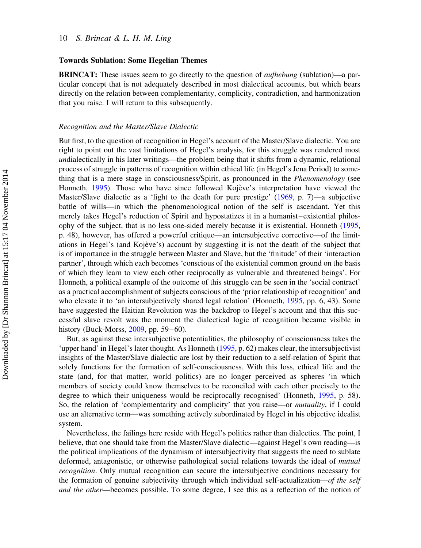#### Towards Sublation: Some Hegelian Themes

BRINCAT: These issues seem to go directly to the question of aufhebung (sublation)—a particular concept that is not adequately described in most dialectical accounts, but which bears directly on the relation between complementarity, complicity, contradiction, and harmonization that you raise. I will return to this subsequently.

#### Recognition and the Master/Slave Dialectic

But first, to the question of recognition in Hegel's account of the Master/Slave dialectic. You are right to point out the vast limitations of Hegel's analysis, for this struggle was rendered most undialectically in his later writings—the problem being that it shifts from a dynamic, relational process of struggle in patterns of recognition within ethical life (in Hegel's Jena Period) to something that is a mere stage in consciousness/Spirit, as pronounced in the Phenomenology (see Honneth, [1995\)](#page-26-0). Those who have since followed Kojève's interpretation have viewed the Master/Slave dialectic as a 'fight to the death for pure prestige' ([1969,](#page-26-0) p. 7)—a subjective battle of wills—in which the phenomenological notion of the self is ascendant. Yet this merely takes Hegel's reduction of Spirit and hypostatizes it in a humanist–existential philosophy of the subject, that is no less one-sided merely because it is existential. Honneth [\(1995](#page-26-0), p. 48), however, has offered a powerful critique—an intersubjective corrective—of the limitations in Hegel's (and Kojève's) account by suggesting it is not the death of the subject that is of importance in the struggle between Master and Slave, but the 'finitude' of their 'interaction partner', through which each becomes 'conscious of the existential common ground on the basis of which they learn to view each other reciprocally as vulnerable and threatened beings'. For Honneth, a political example of the outcome of this struggle can be seen in the 'social contract' as a practical accomplishment of subjects conscious of the 'prior relationship of recognition' and who elevate it to 'an intersubjectively shared legal relation' (Honneth, [1995](#page-26-0), pp. 6, 43). Some have suggested the Haitian Revolution was the backdrop to Hegel's account and that this successful slave revolt was the moment the dialectical logic of recognition became visible in history (Buck-Morss, [2009,](#page-25-0) pp. 59–60).

But, as against these intersubjective potentialities, the philosophy of consciousness takes the 'upper hand' in Hegel's later thought. As Honneth [\(1995](#page-26-0), p. 62) makes clear, the intersubjectivist insights of the Master/Slave dialectic are lost by their reduction to a self-relation of Spirit that solely functions for the formation of self-consciousness. With this loss, ethical life and the state (and, for that matter, world politics) are no longer perceived as spheres 'in which members of society could know themselves to be reconciled with each other precisely to the degree to which their uniqueness would be reciprocally recognised' (Honneth, [1995](#page-26-0), p. 58). So, the relation of 'complementarity and complicity' that you raise—or mutuality, if I could use an alternative term—was something actively subordinated by Hegel in his objective idealist system.

Nevertheless, the failings here reside with Hegel's politics rather than dialectics. The point, I believe, that one should take from the Master/Slave dialectic—against Hegel's own reading—is the political implications of the dynamism of intersubjectivity that suggests the need to sublate deformed, antagonistic, or otherwise pathological social relations towards the ideal of *mutual* recognition. Only mutual recognition can secure the intersubjective conditions necessary for the formation of genuine subjectivity through which individual self-actualization—of the self and the other—becomes possible. To some degree, I see this as a reflection of the notion of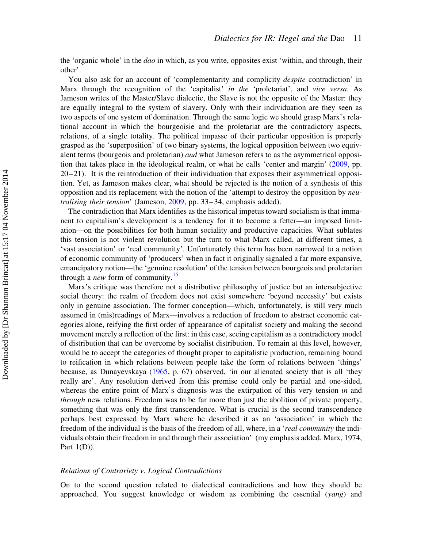the 'organic whole' in the *dao* in which, as you write, opposites exist 'within, and through, their other'.

You also ask for an account of 'complementarity and complicity *despite* contradiction' in Marx through the recognition of the 'capitalist' in the 'proletariat', and vice versa. As Jameson writes of the Master/Slave dialectic, the Slave is not the opposite of the Master: they are equally integral to the system of slavery. Only with their individuation are they seen as two aspects of one system of domination. Through the same logic we should grasp Marx's relational account in which the bourgeoisie and the proletariat are the contradictory aspects, relations, of a single totality. The political impasse of their particular opposition is properly grasped as the 'superposition' of two binary systems, the logical opposition between two equivalent terms (bourgeois and proletarian) and what Jameson refers to as the asymmetrical opposition that takes place in the ideological realm, or what he calls 'center and margin' ([2009,](#page-26-0) pp.  $20-21$ ). It is the reintroduction of their individuation that exposes their asymmetrical opposition. Yet, as Jameson makes clear, what should be rejected is the notion of a synthesis of this opposition and its replacement with the notion of the 'attempt to destroy the opposition by neu-tralising their tension' (Jameson, [2009,](#page-26-0) pp. 33–34, emphasis added).

The contradiction that Marx identifies as the historical impetus toward socialism is that immanent to capitalism's development is a tendency for it to become a fetter—an imposed limitation—on the possibilities for both human sociality and productive capacities. What sublates this tension is not violent revolution but the turn to what Marx called, at different times, a 'vast association' or 'real community'. Unfortunately this term has been narrowed to a notion of economic community of 'producers' when in fact it originally signaled a far more expansive, emancipatory notion—the 'genuine resolution' of the tension between bourgeois and proletarian through a *new* form of community.<sup>[15](#page-24-0)</sup>

Marx's critique was therefore not a distributive philosophy of justice but an intersubjective social theory: the realm of freedom does not exist somewhere 'beyond necessity' but exists only in genuine association. The former conception—which, unfortunately, is still very much assumed in (mis)readings of Marx—involves a reduction of freedom to abstract economic categories alone, reifying the first order of appearance of capitalist society and making the second movement merely a reflection of the first: in this case, seeing capitalism as a contradictory model of distribution that can be overcome by socialist distribution. To remain at this level, however, would be to accept the categories of thought proper to capitalistic production, remaining bound to reification in which relations between people take the form of relations between 'things' because, as Dunayevskaya ([1965,](#page-25-0) p. 67) observed, 'in our alienated society that is all 'they really are'. Any resolution derived from this premise could only be partial and one-sided, whereas the entire point of Marx's diagnosis was the extirpation of this very tension in and through new relations. Freedom was to be far more than just the abolition of private property, something that was only the first transcendence. What is crucial is the second transcendence perhaps best expressed by Marx where he described it as an 'association' in which the freedom of the individual is the basis of the freedom of all, where, in a 'real community the individuals obtain their freedom in and through their association' (my emphasis added, Marx, 1974, Part  $1(D)$ ).

# Relations of Contrariety v. Logical Contradictions

On to the second question related to dialectical contradictions and how they should be approached. You suggest knowledge or wisdom as combining the essential  $(vang)$  and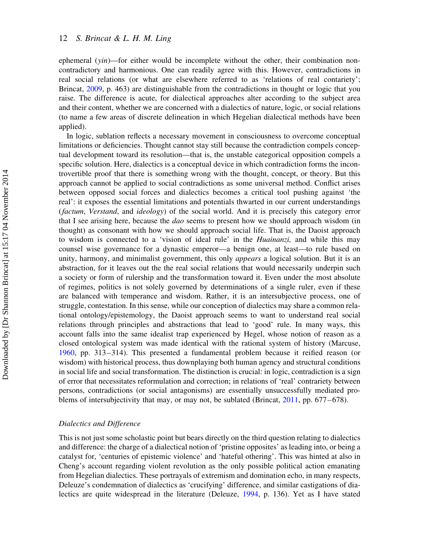ephemeral  $(vin)$ —for either would be incomplete without the other, their combination noncontradictory and harmonious. One can readily agree with this. However, contradictions in real social relations (or what are elsewhere referred to as 'relations of real contariety'; Brincat, [2009](#page-25-0), p. 463) are distinguishable from the contradictions in thought or logic that you raise. The difference is acute, for dialectical approaches alter according to the subject area and their content, whether we are concerned with a dialectics of nature, logic, or social relations (to name a few areas of discrete delineation in which Hegelian dialectical methods have been applied).

In logic, sublation reflects a necessary movement in consciousness to overcome conceptual limitations or deficiencies. Thought cannot stay still because the contradiction compels conceptual development toward its resolution—that is, the unstable categorical opposition compels a specific solution. Here, dialectics is a conceptual device in which contradiction forms the incontrovertible proof that there is something wrong with the thought, concept, or theory. But this approach cannot be applied to social contradictions as some universal method. Conflict arises between opposed social forces and dialectics becomes a critical tool pushing against 'the real': it exposes the essential limitations and potentials thwarted in our current understandings (factum, Verstand, and ideology) of the social world. And it is precisely this category error that I see arising here, because the *dao* seems to present how we should approach wisdom (in thought) as consonant with how we should approach social life. That is, the Daoist approach to wisdom is connected to a 'vision of ideal rule' in the Huainanzi, and while this may counsel wise governance for a dynastic emperor—a benign one, at least—to rule based on unity, harmony, and minimalist government, this only *appears* a logical solution. But it is an abstraction, for it leaves out the the real social relations that would necessarily underpin such a society or form of rulership and the transformation toward it. Even under the most absolute of regimes, politics is not solely governed by determinations of a single ruler, even if these are balanced with temperance and wisdom. Rather, it is an intersubjective process, one of struggle, contestation. In this sense, while our conception of dialectics may share a common relational ontology/epistemology, the Daoist approach seems to want to understand real social relations through principles and abstractions that lead to 'good' rule. In many ways, this account falls into the same idealist trap experienced by Hegel, whose notion of reason as a closed ontological system was made identical with the rational system of history (Marcuse, [1960,](#page-26-0) pp. 313–314). This presented a fundamental problem because it reified reason (or wisdom) with historical process, thus downplaying both human agency and structural conditions in social life and social transformation. The distinction is crucial: in logic, contradiction is a sign of error that necessitates reformulation and correction; in relations of 'real' contrariety between persons, contradictions (or social antagonisms) are essentially unsuccessfully mediated problems of intersubjectivity that may, or may not, be sublated (Brincat, [2011,](#page-25-0) pp. 677–678).

# Dialectics and Difference

This is not just some scholastic point but bears directly on the third question relating to dialectics and difference: the charge of a dialectical notion of 'pristine opposites' as leading into, or being a catalyst for, 'centuries of epistemic violence' and 'hateful othering'. This was hinted at also in Cheng's account regarding violent revolution as the only possible political action emanating from Hegelian dialectics. These portrayals of extremism and domination echo, in many respects, Deleuze's condemnation of dialectics as 'crucifying' difference, and similar castigations of dialectics are quite widespread in the literature (Deleuze, [1994,](#page-25-0) p. 136). Yet as I have stated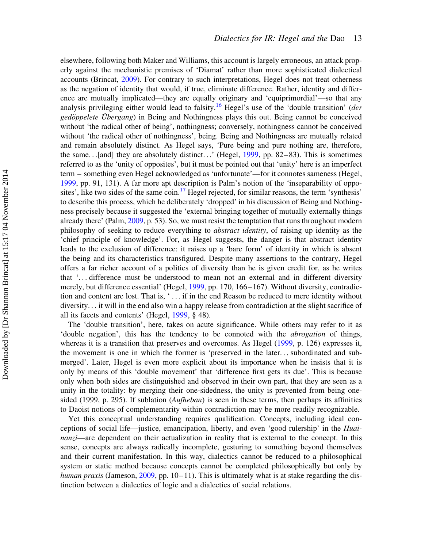elsewhere, following both Maker and Williams, this account is largely erroneous, an attack properly against the mechanistic premises of 'Diamat' rather than more sophisticated dialectical accounts (Brincat, [2009\)](#page-25-0). For contrary to such interpretations, Hegel does not treat otherness as the negation of identity that would, if true, eliminate difference. Rather, identity and difference are mutually implicated—they are equally originary and 'equiprimordial'—so that any analysis privileging either would lead to falsity.<sup>[16](#page-24-0)</sup> Hegel's use of the 'double transition' (der gedöppelete Übergang) in Being and Nothingness plays this out. Being cannot be conceived without 'the radical other of being', nothingness; conversely, nothingness cannot be conceived without 'the radical other of nothingness', being. Being and Nothingness are mutually related and remain absolutely distinct. As Hegel says, 'Pure being and pure nothing are, therefore, the same...[and] they are absolutely distinct...' (Hegel, [1999](#page-25-0), pp. 82–83). This is sometimes referred to as the 'unity of opposites', but it must be pointed out that 'unity' here is an imperfect term – something even Hegel acknowledged as 'unfortunate'—for it connotes sameness (Hegel, [1999,](#page-25-0) pp. 91, 131). A far more apt description is Palm's notion of the 'inseparability of oppo-sites', like two sides of the same coin.<sup>[17](#page-24-0)</sup> Hegel rejected, for similar reasons, the term 'synthesis' to describe this process, which he deliberately 'dropped' in his discussion of Being and Nothingness precisely because it suggested the 'external bringing together of mutually externally things already there' (Palm, [2009,](#page-26-0) p. 53). So, we must resist the temptation that runs throughout modern philosophy of seeking to reduce everything to abstract identity, of raising up identity as the 'chief principle of knowledge'. For, as Hegel suggests, the danger is that abstract identity leads to the exclusion of difference: it raises up a 'bare form' of identity in which is absent the being and its characteristics transfigured. Despite many assertions to the contrary, Hegel offers a far richer account of a politics of diversity than he is given credit for, as he writes that '... difference must be understood to mean not an external and in different diversity merely, but difference essential' (Hegel, [1999](#page-25-0), pp. 170, 166–167). Without diversity, contradiction and content are lost. That is, ' ... if in the end Reason be reduced to mere identity without diversity... it will in the end also win a happy release from contradiction at the slight sacrifice of all its facets and contents' (Hegel, [1999](#page-25-0), § 48).

The 'double transition', here, takes on acute significance. While others may refer to it as 'double negation', this has the tendency to be connoted with the abrogation of things, whereas it is a transition that preserves and overcomes. As Hegel ([1999,](#page-25-0) p. 126) expresses it, the movement is one in which the former is 'preserved in the later... subordinated and submerged'. Later, Hegel is even more explicit about its importance when he insists that it is only by means of this 'double movement' that 'difference first gets its due'. This is because only when both sides are distinguished and observed in their own part, that they are seen as a unity in the totality: by merging their one-sidedness, the unity is prevented from being onesided (1999, p. 295). If sublation (*Aufheban*) is seen in these terms, then perhaps its affinities to Daoist notions of complementarity within contradiction may be more readily recognizable.

Yet this conceptual understanding requires qualification. Concepts, including ideal conceptions of social life—justice, emancipation, liberty, and even 'good rulership' in the Huainanzi—are dependent on their actualization in reality that is external to the concept. In this sense, concepts are always radically incomplete, gesturing to something beyond themselves and their current manifestation. In this way, dialectics cannot be reduced to a philosophical system or static method because concepts cannot be completed philosophically but only by human praxis (Jameson, [2009](#page-26-0), pp.  $10-11$ ). This is ultimately what is at stake regarding the distinction between a dialectics of logic and a dialectics of social relations.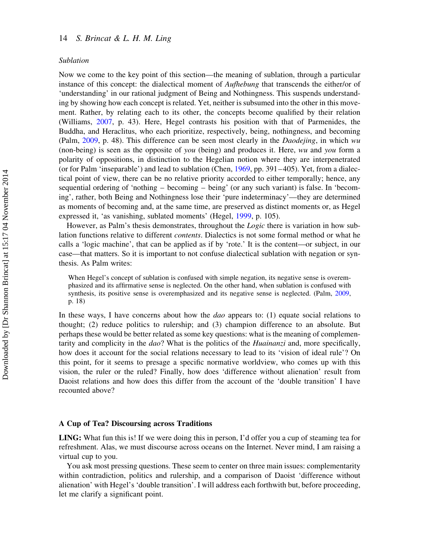#### Sublation

Now we come to the key point of this section—the meaning of sublation, through a particular instance of this concept: the dialectical moment of *Aufhebung* that transcends the either/or of 'understanding' in our rational judgment of Being and Nothingness. This suspends understanding by showing how each concept is related. Yet, neither is subsumed into the other in this movement. Rather, by relating each to its other, the concepts become qualified by their relation (Williams, [2007,](#page-26-0) p. 43). Here, Hegel contrasts his position with that of Parmenides, the Buddha, and Heraclitus, who each prioritize, respectively, being, nothingness, and becoming (Palm, [2009,](#page-26-0) p. 48). This difference can be seen most clearly in the Daodejing, in which wu (non-being) is seen as the opposite of you (being) and produces it. Here, wu and you form a polarity of oppositions, in distinction to the Hegelian notion where they are interpenetrated (or for Palm 'inseparable') and lead to sublation (Chen, [1969,](#page-25-0) pp. 391–405). Yet, from a dialectical point of view, there can be no relative priority accorded to either temporally; hence, any sequential ordering of 'nothing – becoming – being' (or any such variant) is false. In 'becoming', rather, both Being and Nothingness lose their 'pure indeterminacy'—they are determined as moments of becoming and, at the same time, are preserved as distinct moments or, as Hegel expressed it, 'as vanishing, sublated moments' (Hegel, [1999](#page-25-0), p. 105).

However, as Palm's thesis demonstrates, throughout the *Logic* there is variation in how sublation functions relative to different contents. Dialectics is not some formal method or what he calls a 'logic machine', that can be applied as if by 'rote.' It is the content—or subject, in our case—that matters. So it is important to not confuse dialectical sublation with negation or synthesis. As Palm writes:

When Hegel's concept of sublation is confused with simple negation, its negative sense is overemphasized and its affirmative sense is neglected. On the other hand, when sublation is confused with synthesis, its positive sense is overemphasized and its negative sense is neglected. (Palm, [2009,](#page-26-0) p. 18)

In these ways, I have concerns about how the *dao* appears to:  $(1)$  equate social relations to thought; (2) reduce politics to rulership; and (3) champion difference to an absolute. But perhaps these would be better related as some key questions: what is the meaning of complementarity and complicity in the dao? What is the politics of the Huainanzi and, more specifically, how does it account for the social relations necessary to lead to its 'vision of ideal rule'? On this point, for it seems to presage a specific normative worldview, who comes up with this vision, the ruler or the ruled? Finally, how does 'difference without alienation' result from Daoist relations and how does this differ from the account of the 'double transition' I have recounted above?

## A Cup of Tea? Discoursing across Traditions

LING: What fun this is! If we were doing this in person, I'd offer you a cup of steaming tea for refreshment. Alas, we must discourse across oceans on the Internet. Never mind, I am raising a virtual cup to you.

You ask most pressing questions. These seem to center on three main issues: complementarity within contradiction, politics and rulership, and a comparison of Daoist 'difference without alienation' with Hegel's 'double transition'. I will address each forthwith but, before proceeding, let me clarify a significant point.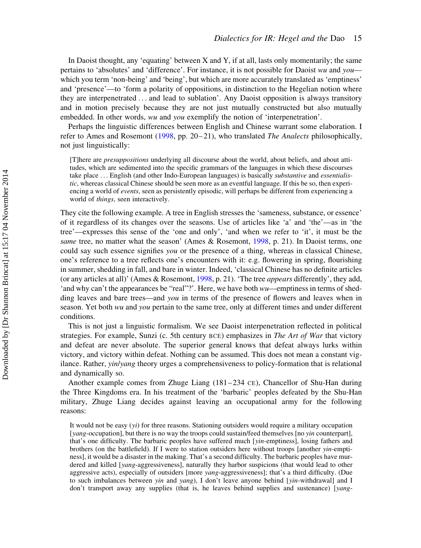In Daoist thought, any 'equating' between X and Y, if at all, lasts only momentarily; the same pertains to 'absolutes' and 'difference'. For instance, it is not possible for Daoist wu and you which you term 'non-being' and 'being', but which are more accurately translated as 'emptiness' and 'presence'—to 'form a polarity of oppositions, in distinction to the Hegelian notion where they are interpenetrated ... and lead to sublation'. Any Daoist opposition is always transitory and in motion precisely because they are not just mutually constructed but also mutually embedded. In other words, wu and you exemplify the notion of 'interpenetration'.

Perhaps the linguistic differences between English and Chinese warrant some elaboration. I refer to Ames and Rosemont ([1998,](#page-25-0) pp. 20–21), who translated The Analects philosophically, not just linguistically:

[T]here are presuppositions underlying all discourse about the world, about beliefs, and about attitudes, which are sedimented into the specific grammars of the languages in which these discourses take place ... English (and other Indo-European languages) is basically substantive and essentialistic, whereas classical Chinese should be seen more as an eventful language. If this be so, then experiencing a world of *events*, seen as persistently episodic, will perhaps be different from experiencing a world of *things*, seen interactively.

They cite the following example. A tree in English stresses the 'sameness, substance, or essence' of it regardless of its changes over the seasons. Use of articles like 'a' and 'the'—as in 'the tree'—expresses this sense of the 'one and only', 'and when we refer to 'it', it must be the same tree, no matter what the season' (Ames & Rosemont, [1998](#page-25-0), p. 21). In Daoist terms, one could say such essence signifies you or the presence of a thing, whereas in classical Chinese, one's reference to a tree reflects one's encounters with it: e.g. flowering in spring, flourishing in summer, shedding in fall, and bare in winter. Indeed, 'classical Chinese has no definite articles (or any articles at all)' (Ames & Rosemont, [1998](#page-25-0), p. 21). 'The tree appears differently', they add, 'and why can't the appearances be "real"?'. Here, we have both  $wu$ —emptiness in terms of shedding leaves and bare trees—and you in terms of the presence of flowers and leaves when in season. Yet both wu and you pertain to the same tree, only at different times and under different conditions.

This is not just a linguistic formalism. We see Daoist interpenetration reflected in political strategies. For example, Sunzi (c. 5th century BCE) emphasizes in The Art of War that victory and defeat are never absolute. The superior general knows that defeat always lurks within victory, and victory within defeat. Nothing can be assumed. This does not mean a constant vigilance. Rather, yin/yang theory urges a comprehensiveness to policy-formation that is relational and dynamically so.

Another example comes from Zhuge Liang (181–234 CE), Chancellor of Shu-Han during the Three Kingdoms era. In his treatment of the 'barbaric' peoples defeated by the Shu-Han military, Zhuge Liang decides against leaving an occupational army for the following reasons:

It would not be easy  $(y_i)$  for three reasons. Stationing outsiders would require a military occupation [*yang*-occupation], but there is no way the troops could sustain/feed themselves [no *yin* counterpart], that's one difficulty. The barbaric peoples have suffered much [yin-emptiness], losing fathers and brothers (on the battlefield). If I were to station outsiders here without troops [another yin-emptiness], it would be a disaster in the making. That's a second difficulty. The barbaric peoples have murdered and killed [yang-aggressiveness], naturally they harbor suspicions (that would lead to other aggressive acts), especially of outsiders [more yang-aggressiveness]; that's a third difficulty. (Due to such imbalances between yin and yang), I don't leave anyone behind [yin-withdrawal] and I don't transport away any supplies (that is, he leaves behind supplies and sustenance) [yang-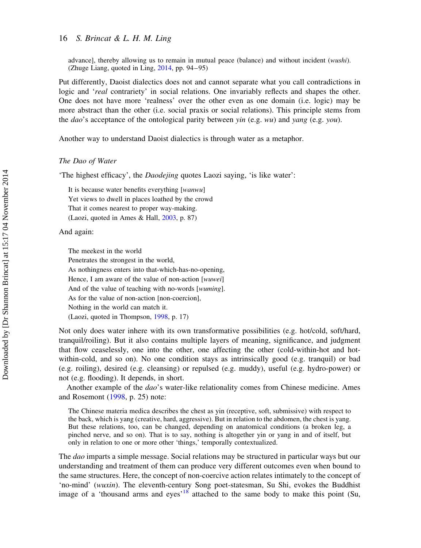advance], thereby allowing us to remain in mutual peace (balance) and without incident (wushi). (Zhuge Liang, quoted in Ling, [2014,](#page-26-0) pp. 94–95)

Put differently, Daoist dialectics does not and cannot separate what you call contradictions in logic and 'real contrariety' in social relations. One invariably reflects and shapes the other. One does not have more 'realness' over the other even as one domain (i.e. logic) may be more abstract than the other (i.e. social praxis or social relations). This principle stems from the dao's acceptance of the ontological parity between yin (e.g.  $wu$ ) and yang (e.g. you).

Another way to understand Daoist dialectics is through water as a metaphor.

## The Dao of Water

'The highest efficacy', the Daodejing quotes Laozi saying, 'is like water':

It is because water benefits everything [wanwu] Yet views to dwell in places loathed by the crowd That it comes nearest to proper way-making. (Laozi, quoted in Ames & Hall, [2003](#page-25-0), p. 87)

And again:

The meekest in the world

Penetrates the strongest in the world,

As nothingness enters into that-which-has-no-opening,

Hence, I am aware of the value of non-action [wuwei]

And of the value of teaching with no-words [wuming].

As for the value of non-action [non-coercion],

Nothing in the world can match it.

(Laozi, quoted in Thompson, [1998,](#page-26-0) p. 17)

Not only does water inhere with its own transformative possibilities (e.g. hot/cold, soft/hard, tranquil/roiling). But it also contains multiple layers of meaning, significance, and judgment that flow ceaselessly, one into the other, one affecting the other (cold-within-hot and hotwithin-cold, and so on). No one condition stays as intrinsically good (e.g. tranquil) or bad (e.g. roiling), desired (e.g. cleansing) or repulsed (e.g. muddy), useful (e.g. hydro-power) or not (e.g. flooding). It depends, in short.

Another example of the dao's water-like relationality comes from Chinese medicine. Ames and Rosemont [\(1998](#page-25-0), p. 25) note:

The Chinese materia medica describes the chest as yin (receptive, soft, submissive) with respect to the back, which is yang (creative, hard, aggressive). But in relation to the abdomen, the chest is yang. But these relations, too, can be changed, depending on anatomical conditions (a broken leg, a pinched nerve, and so on). That is to say, nothing is altogether yin or yang in and of itself, but only in relation to one or more other 'things,' temporally contextualized.

The *dao* imparts a simple message. Social relations may be structured in particular ways but our understanding and treatment of them can produce very different outcomes even when bound to the same structures. Here, the concept of non-coercive action relates intimately to the concept of 'no-mind' (wuxin). The eleventh-century Song poet-statesman, Su Shi, evokes the Buddhist image of a 'thousand arms and eyes'<sup>[18](#page-24-0)</sup> attached to the same body to make this point (Su,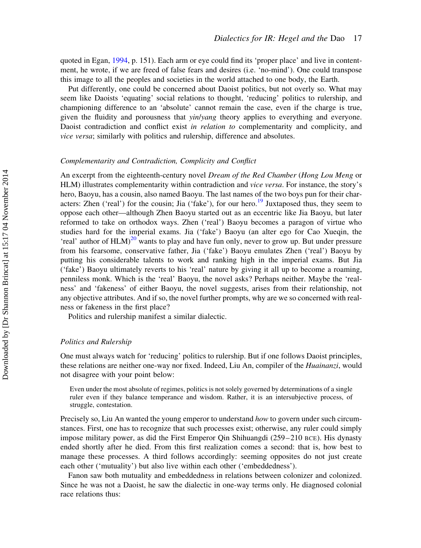quoted in Egan, [1994,](#page-25-0) p. 151). Each arm or eye could find its 'proper place' and live in contentment, he wrote, if we are freed of false fears and desires (i.e. 'no-mind'). One could transpose this image to all the peoples and societies in the world attached to one body, the Earth.

Put differently, one could be concerned about Daoist politics, but not overly so. What may seem like Daoists 'equating' social relations to thought, 'reducing' politics to rulership, and championing difference to an 'absolute' cannot remain the case, even if the charge is true, given the fluidity and porousness that *yin/yang* theory applies to everything and everyone. Daoist contradiction and conflict exist in relation to complementarity and complicity, and vice versa; similarly with politics and rulership, difference and absolutes.

# Complementarity and Contradiction, Complicity and Conflict

An excerpt from the eighteenth-century novel *Dream of the Red Chamber (Hong Lou Meng* or HLM) illustrates complementarity within contradiction and vice versa. For instance, the story's hero, Baoyu, has a cousin, also named Baoyu. The last names of the two boys pun for their char-acters: Zhen ('real') for the cousin; Jia ('fake'), for our hero.<sup>[19](#page-24-0)</sup> Juxtaposed thus, they seem to oppose each other—although Zhen Baoyu started out as an eccentric like Jia Baoyu, but later reformed to take on orthodox ways. Zhen ('real') Baoyu becomes a paragon of virtue who studies hard for the imperial exams. Jia ('fake') Baoyu (an alter ego for Cao Xueqin, the 'real' author of  $HLM$ <sup>[20](#page-24-0)</sup> wants to play and have fun only, never to grow up. But under pressure from his fearsome, conservative father, Jia ('fake') Baoyu emulates Zhen ('real') Baoyu by putting his considerable talents to work and ranking high in the imperial exams. But Jia ('fake') Baoyu ultimately reverts to his 'real' nature by giving it all up to become a roaming, penniless monk. Which is the 'real' Baoyu, the novel asks? Perhaps neither. Maybe the 'realness' and 'fakeness' of either Baoyu, the novel suggests, arises from their relationship, not any objective attributes. And if so, the novel further prompts, why are we so concerned with realness or fakeness in the first place?

Politics and rulership manifest a similar dialectic.

#### Politics and Rulership

One must always watch for 'reducing' politics to rulership. But if one follows Daoist principles, these relations are neither one-way nor fixed. Indeed, Liu An, compiler of the Huainanzi, would not disagree with your point below:

Even under the most absolute of regimes, politics is not solely governed by determinations of a single ruler even if they balance temperance and wisdom. Rather, it is an intersubjective process, of struggle, contestation.

Precisely so, Liu An wanted the young emperor to understand how to govern under such circumstances. First, one has to recognize that such processes exist; otherwise, any ruler could simply impose military power, as did the First Emperor Qin Shihuangdi (259–210 BCE). His dynasty ended shortly after he died. From this first realization comes a second: that is, how best to manage these processes. A third follows accordingly: seeming opposites do not just create each other ('mutuality') but also live within each other ('embeddedness').

Fanon saw both mutuality and embeddedness in relations between colonizer and colonized. Since he was not a Daoist, he saw the dialectic in one-way terms only. He diagnosed colonial race relations thus: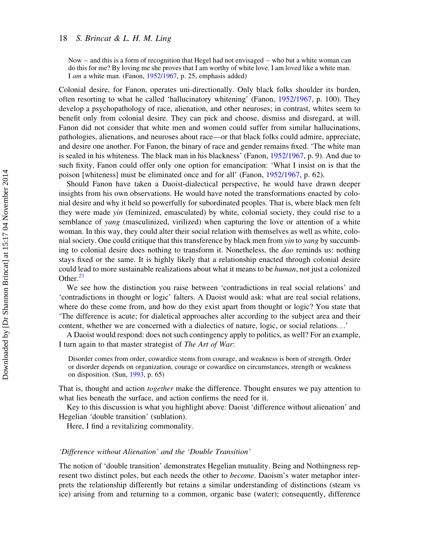Now – and this is a form of recognition that Hegel had not envisaged – who but a white woman can do this for me? By loving me she proves that I am worthy of white love. I am loved like a white man. I am a white man. (Fanon, [1952/1967](#page-25-0), p. 25, emphasis added)

Colonial desire, for Fanon, operates uni-directionally. Only black folks shoulder its burden, often resorting to what he called 'hallucinatory whitening' (Fanon, [1952/1967,](#page-25-0) p. 100). They develop a psychopathology of race, alienation, and other neuroses; in contrast, whites seem to benefit only from colonial desire. They can pick and choose, dismiss and disregard, at will. Fanon did not consider that white men and women could suffer from similar hallucinations, pathologies, alienations, and neuroses about race—or that black folks could admire, appreciate, and desire one another. For Fanon, the binary of race and gender remains fixed. 'The white man is sealed in his whiteness. The black man in his blackness' (Fanon, [1952/1967,](#page-25-0) p. 9). And due to such fixity, Fanon could offer only one option for emancipation: 'What I insist on is that the poison [whiteness] must be eliminated once and for all' (Fanon, [1952/1967,](#page-25-0) p. 62).

Should Fanon have taken a Daoist-dialectical perspective, he would have drawn deeper insights from his own observations. He would have noted the transformations enacted by colonial desire and why it held so powerfully for subordinated peoples. That is, where black men felt they were made yin (feminized, emasculated) by white, colonial society, they could rise to a semblance of yang (masculinized, virilized) when capturing the love or attention of a white woman. In this way, they could alter their social relation with themselves as well as white, colonial society. One could critique that this transference by black men from yin to yang by succumbing to colonial desire does nothing to transform it. Nonetheless, the *dao* reminds us: nothing stays fixed or the same. It is highly likely that a relationship enacted through colonial desire could lead to more sustainable realizations about what it means to be *human*, not just a colonized Other. $^{21}$  $^{21}$  $^{21}$ 

We see how the distinction you raise between 'contradictions in real social relations' and 'contradictions in thought or logic' falters. A Daoist would ask: what are real social relations, where do these come from, and how do they exist apart from thought or logic? You state that 'The difference is acute; for dialetical approaches alter according to the subject area and their content, whether we are concerned with a dialectics of nature, logic, or social relations...'

A Daoist would respond: does not such contingency apply to politics, as well? For an example, I turn again to that master strategist of The Art of War:

Disorder comes from order, cowardice stems from courage, and weakness is born of strength. Order or disorder depends on organization, courage or cowardice on circumstances, strength or weakness on disposition. (Sun, [1993,](#page-26-0) p. 65)

That is, thought and action *together* make the difference. Thought ensures we pay attention to what lies beneath the surface, and action confirms the need for it.

Key to this discussion is what you highlight above: Daoist 'difference without alienation' and Hegelian 'double transition' (sublation).

Here, I find a revitalizing commonality.

## 'Difference without Alienation' and the 'Double Transition'

The notion of 'double transition' demonstrates Hegelian mutuality. Being and Nothingness represent two distinct poles, but each needs the other to *become*. Daoism's water metaphor interprets the relationship differently but retains a similar understanding of distinctions (steam vs ice) arising from and returning to a common, organic base (water); consequently, difference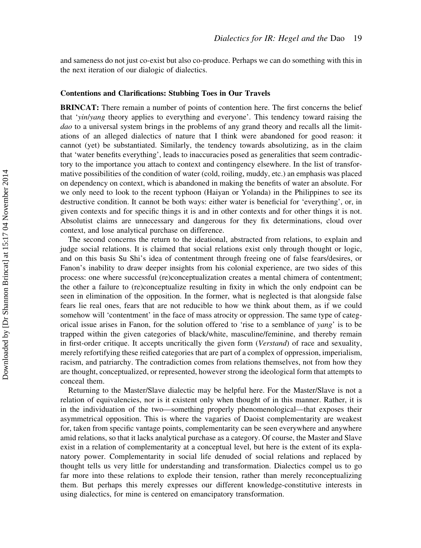and sameness do not just co-exist but also co-produce. Perhaps we can do something with this in the next iteration of our dialogic of dialectics.

## Contentions and Clarifications: Stubbing Toes in Our Travels

BRINCAT: There remain a number of points of contention here. The first concerns the belief that 'yin/yang theory applies to everything and everyone'. This tendency toward raising the dao to a universal system brings in the problems of any grand theory and recalls all the limitations of an alleged dialectics of nature that I think were abandoned for good reason: it cannot (yet) be substantiated. Similarly, the tendency towards absolutizing, as in the claim that 'water benefits everything', leads to inaccuracies posed as generalities that seem contradictory to the importance you attach to context and contingency elsewhere. In the list of transformative possibilities of the condition of water (cold, roiling, muddy, etc.) an emphasis was placed on dependency on context, which is abandoned in making the benefits of water an absolute. For we only need to look to the recent typhoon (Haiyan or Yolanda) in the Philippines to see its destructive condition. It cannot be both ways: either water is beneficial for 'everything', or, in given contexts and for specific things it is and in other contexts and for other things it is not. Absolutist claims are unnecessary and dangerous for they fix determinations, cloud over context, and lose analytical purchase on difference.

The second concerns the return to the ideational, abstracted from relations, to explain and judge social relations. It is claimed that social relations exist only through thought or logic, and on this basis Su Shi's idea of contentment through freeing one of false fears/desires, or Fanon's inability to draw deeper insights from his colonial experience, are two sides of this process: one where successful (re)conceptualization creates a mental chimera of contentment; the other a failure to (re)conceptualize resulting in fixity in which the only endpoint can be seen in elimination of the opposition. In the former, what is neglected is that alongside false fears lie real ones, fears that are not reducible to how we think about them, as if we could somehow will 'contentment' in the face of mass atrocity or oppression. The same type of categorical issue arises in Fanon, for the solution offered to 'rise to a semblance of yang' is to be trapped within the given categories of black/white, masculine/feminine, and thereby remain in first-order critique. It accepts uncritically the given form (Verstand) of race and sexuality, merely refortifying these reified categories that are part of a complex of oppression, imperialism, racism, and patriarchy. The contradiction comes from relations themselves, not from how they are thought, conceptualized, or represented, however strong the ideological form that attempts to conceal them.

Returning to the Master/Slave dialectic may be helpful here. For the Master/Slave is not a relation of equivalencies, nor is it existent only when thought of in this manner. Rather, it is in the individuation of the two—something properly phenomenological—that exposes their asymmetrical opposition. This is where the vagaries of Daoist complementarity are weakest for, taken from specific vantage points, complementarity can be seen everywhere and anywhere amid relations, so that it lacks analytical purchase as a category. Of course, the Master and Slave exist in a relation of complementarity at a conceptual level, but here is the extent of its explanatory power. Complementarity in social life denuded of social relations and replaced by thought tells us very little for understanding and transformation. Dialectics compel us to go far more into these relations to explode their tension, rather than merely reconceptualizing them. But perhaps this merely expresses our different knowledge-constitutive interests in using dialectics, for mine is centered on emancipatory transformation.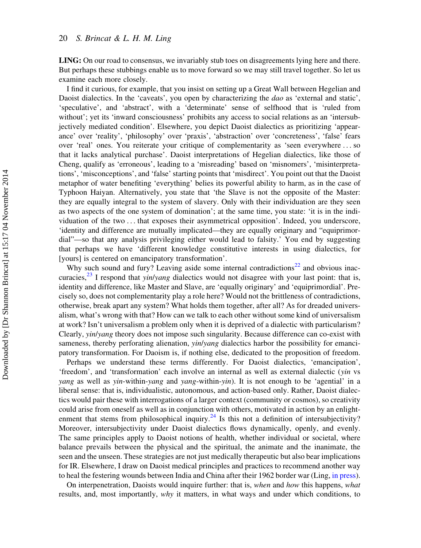LING: On our road to consensus, we invariably stub toes on disagreements lying here and there. But perhaps these stubbings enable us to move forward so we may still travel together. So let us examine each more closely.

I find it curious, for example, that you insist on setting up a Great Wall between Hegelian and Daoist dialectics. In the 'caveats', you open by characterizing the *dao* as 'external and static', 'speculative', and 'abstract', with a 'determinate' sense of selfhood that is 'ruled from without'; yet its 'inward consciousness' prohibits any access to social relations as an 'intersubjectively mediated condition'. Elsewhere, you depict Daoist dialectics as prioritizing 'appearance' over 'reality', 'philosophy' over 'praxis', 'abstraction' over 'concreteness', 'false' fears over 'real' ones. You reiterate your critique of complementarity as 'seen everywhere ... so that it lacks analytical purchase'. Daoist interpretations of Hegelian dialectics, like those of Cheng, qualify as 'erroneous', leading to a 'misreading' based on 'misnomers', 'misinterpretations', 'misconceptions', and 'false' starting points that 'misdirect'. You point out that the Daoist metaphor of water benefiting 'everything' belies its powerful ability to harm, as in the case of Typhoon Haiyan. Alternatively, you state that 'the Slave is not the opposite of the Master: they are equally integral to the system of slavery. Only with their individuation are they seen as two aspects of the one system of domination'; at the same time, you state: 'it is in the individuation of the two ... that exposes their asymmetrical opposition'. Indeed, you underscore, 'identity and difference are mutually implicated—they are equally originary and "equiprimordial"—so that any analysis privileging either would lead to falsity.' You end by suggesting that perhaps we have 'different knowledge constitutive interests in using dialectics, for [yours] is centered on emancipatory transformation'.

Why such sound and fury? Leaving aside some internal contradictions<sup>[22](#page-24-0)</sup> and obvious inaccuracies, $^{23}$  $^{23}$  $^{23}$  I respond that *yin/yang* dialectics would not disagree with your last point: that is, identity and difference, like Master and Slave, are 'equally originary' and 'equiprimordial'. Precisely so, does not complementarity play a role here? Would not the brittleness of contradictions, otherwise, break apart any system? What holds them together, after all? As for dreaded universalism, what's wrong with that? How can we talk to each other without some kind of universalism at work? Isn't universalism a problem only when it is deprived of a dialectic with particularism? Clearly, yin/yang theory does not impose such singularity. Because difference can co-exist with sameness, thereby perforating alienation, *yin/yang* dialectics harbor the possibility for emancipatory transformation. For Daoism is, if nothing else, dedicated to the proposition of freedom.

Perhaps we understand these terms differently. For Daoist dialectics, 'emancipation', 'freedom', and 'transformation' each involve an internal as well as external dialectic (yin vs yang as well as yin-within-yang and yang-within-yin). It is not enough to be 'agential' in a liberal sense: that is, individualistic, autonomous, and action-based only. Rather, Daoist dialectics would pair these with interrogations of a larger context (community or cosmos), so creativity could arise from oneself as well as in conjunction with others, motivated in action by an enlight-enment that stems from philosophical inquiry.<sup>[24](#page-25-0)</sup> Is this not a definition of intersubjectivity? Moreover, intersubjectivity under Daoist dialectics flows dynamically, openly, and evenly. The same principles apply to Daoist notions of health, whether individual or societal, where balance prevails between the physical and the spiritual, the animate and the inanimate, the seen and the unseen. These strategies are not just medically therapeutic but also bear implications for IR. Elsewhere, I draw on Daoist medical principles and practices to recommend another way to heal the festering wounds between India and China after their 1962 border war (Ling, [in press](#page-26-0)).

On interpenetration, Daoists would inquire further: that is, when and how this happens, what results, and, most importantly, why it matters, in what ways and under which conditions, to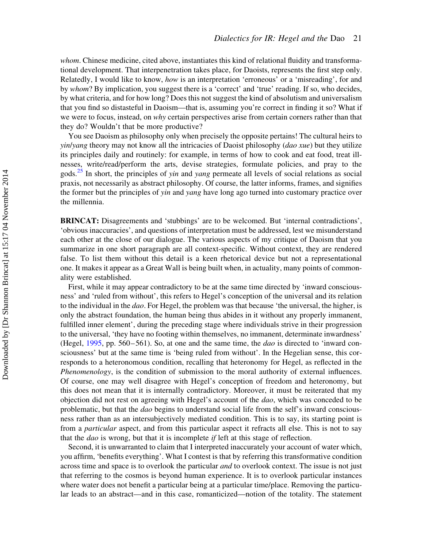whom. Chinese medicine, cited above, instantiates this kind of relational fluidity and transformational development. That interpenetration takes place, for Daoists, represents the first step only. Relatedly, I would like to know, how is an interpretation 'erroneous' or a 'misreading', for and by whom? By implication, you suggest there is a 'correct' and 'true' reading. If so, who decides, by what criteria, and for how long? Does this not suggest the kind of absolutism and universalism that you find so distasteful in Daoism—that is, assuming you're correct in finding it so? What if we were to focus, instead, on why certain perspectives arise from certain corners rather than that they do? Wouldn't that be more productive?

You see Daoism as philosophy only when precisely the opposite pertains! The cultural heirs to  $y$ *in/yang* theory may not know all the intricacies of Daoist philosophy (*dao xue*) but they utilize its principles daily and routinely: for example, in terms of how to cook and eat food, treat illnesses, write/read/perform the arts, devise strategies, formulate policies, and pray to the gods.<sup>[25](#page-25-0)</sup> In short, the principles of yin and yang permeate all levels of social relations as social praxis, not necessarily as abstract philosophy. Of course, the latter informs, frames, and signifies the former but the principles of yin and yang have long ago turned into customary practice over the millennia.

BRINCAT: Disagreements and 'stubbings' are to be welcomed. But 'internal contradictions', 'obvious inaccuracies', and questions of interpretation must be addressed, lest we misunderstand each other at the close of our dialogue. The various aspects of my critique of Daoism that you summarize in one short paragraph are all context-specific. Without context, they are rendered false. To list them without this detail is a keen rhetorical device but not a representational one. It makes it appear as a Great Wall is being built when, in actuality, many points of commonality were established.

First, while it may appear contradictory to be at the same time directed by 'inward consciousness' and 'ruled from without', this refers to Hegel's conception of the universal and its relation to the individual in the dao. For Hegel, the problem was that because 'the universal, the higher, is only the abstract foundation, the human being thus abides in it without any properly immanent, fulfilled inner element', during the preceding stage where individuals strive in their progression to the universal, 'they have no footing within themselves, no immanent, determinate inwardness' (Hegel, [1995,](#page-25-0) pp. 560–561). So, at one and the same time, the dao is directed to 'inward consciousness' but at the same time is 'being ruled from without'. In the Hegelian sense, this corresponds to a heteronomous condition, recalling that heteronomy for Hegel, as reflected in the Phenomenology, is the condition of submission to the moral authority of external influences. Of course, one may well disagree with Hegel's conception of freedom and heteronomy, but this does not mean that it is internally contradictory. Moreover, it must be reiterated that my objection did not rest on agreeing with Hegel's account of the dao, which was conceded to be problematic, but that the dao begins to understand social life from the self's inward consciousness rather than as an intersubjectively mediated condition. This is to say, its starting point is from a particular aspect, and from this particular aspect it refracts all else. This is not to say that the dao is wrong, but that it is incomplete if left at this stage of reflection.

Second, it is unwarranted to claim that I interpreted inaccurately your account of water which, you affirm, 'benefits everything'. What I contest is that by referring this transformative condition across time and space is to overlook the particular and to overlook context. The issue is not just that referring to the cosmos is beyond human experience. It is to overlook particular instances where water does not benefit a particular being at a particular time/place. Removing the particular leads to an abstract—and in this case, romanticized—notion of the totality. The statement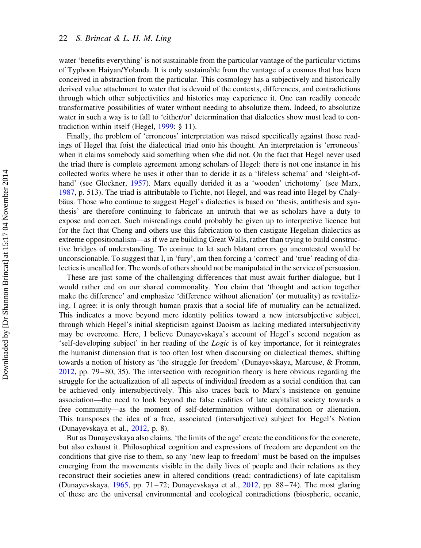water 'benefits everything' is not sustainable from the particular vantage of the particular victims of Typhoon Haiyan/Yolanda. It is only sustainable from the vantage of a cosmos that has been conceived in abstraction from the particular. This cosmology has a subjectively and historically derived value attachment to water that is devoid of the contexts, differences, and contradictions through which other subjectivities and histories may experience it. One can readily concede transformative possibilities of water without needing to absolutize them. Indeed, to absolutize water in such a way is to fall to 'either/or' determination that dialectics show must lead to contradiction within itself (Hegel, [1999](#page-25-0): § 11).

Finally, the problem of 'erroneous' interpretation was raised specifically against those readings of Hegel that foist the dialectical triad onto his thought. An interpretation is 'erroneous' when it claims somebody said something when s/he did not. On the fact that Hegel never used the triad there is complete agreement among scholars of Hegel: there is not one instance in his collected works where he uses it other than to deride it as a 'lifeless schema' and 'sleight-ofhand' (see Glockner, [1957](#page-25-0)). Marx equally derided it as a 'wooden' trichotomy' (see Marx, [1987,](#page-26-0) p. 513). The triad is attributable to Fichte, not Hegel, and was read into Hegel by Chalybaus. Those who continue to suggest Hegel's dialectics is based on 'thesis, antithesis and synthesis' are therefore continuing to fabricate an untruth that we as scholars have a duty to expose and correct. Such misreadings could probably be given up to interpretive licence but for the fact that Cheng and others use this fabrication to then castigate Hegelian dialectics as extreme oppositionalism—as if we are building Great Walls, rather than trying to build constructive bridges of understanding. To coninue to let such blatant errors go uncontested would be unconscionable. To suggest that I, in 'fury', am then forcing a 'correct' and 'true' reading of dialectics is uncalled for. The words of others should not be manipulated in the service of persuasion.

These are just some of the challenging differences that must await further dialogue, but I would rather end on our shared commonality. You claim that 'thought and action together make the difference' and emphasize 'difference without alienation' (or mutuality) as revitalizing. I agree: it is only through human praxis that a social life of mutuality can be actualized. This indicates a move beyond mere identity politics toward a new intersubjective subject, through which Hegel's initial skepticism against Daoism as lacking mediated intersubjectivity may be overcome. Here, I believe Dunayevskaya's account of Hegel's second negation as 'self-developing subject' in her reading of the Logic is of key importance, for it reintegrates the humanist dimension that is too often lost when discoursing on dialectical themes, shifting towards a notion of history as 'the struggle for freedom' (Dunayevskaya, Marcuse, & Fromm, [2012,](#page-25-0) pp. 79–80, 35). The intersection with recognition theory is here obvious regarding the struggle for the actualization of all aspects of individual freedom as a social condition that can be achieved only intersubjectively. This also traces back to Marx's insistence on genuine association—the need to look beyond the false realities of late capitalist society towards a free community—as the moment of self-determination without domination or alienation. This transposes the idea of a free, associated (intersubjective) subject for Hegel's Notion (Dunayevskaya et al., [2012](#page-25-0), p. 8).

But as Dunayevskaya also claims, 'the limits of the age' create the conditions for the concrete, but also exhaust it. Philosophical cognition and expressions of freedom are dependent on the conditions that give rise to them, so any 'new leap to freedom' must be based on the impulses emerging from the movements visible in the daily lives of people and their relations as they reconstruct their societies anew in altered conditions (read: contradictions) of late capitalism (Dunayevskaya, [1965](#page-25-0), pp. 71–72; Dunayevskaya et al., [2012,](#page-25-0) pp. 88–74). The most glaring of these are the universal environmental and ecological contradictions (biospheric, oceanic,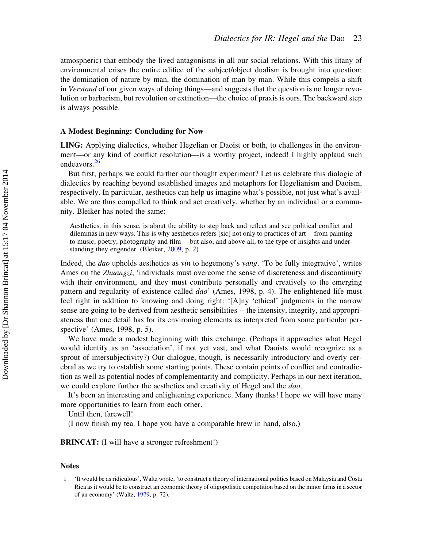<span id="page-23-0"></span>atmospheric) that embody the lived antagonisms in all our social relations. With this litany of environmental crises the entire edifice of the subject/object dualism is brought into question: the domination of nature by man, the domination of man by man. While this compels a shift in Verstand of our given ways of doing things—and suggests that the question is no longer revolution or barbarism, but revolution or extinction—the choice of praxis is ours. The backward step is always possible.

# A Modest Beginning: Concluding for Now

LING: Applying dialectics, whether Hegelian or Daoist or both, to challenges in the environment—or any kind of conflict resolution—is a worthy project, indeed! I highly applaud such endeavors.<sup>[26](#page-25-0)</sup>

But first, perhaps we could further our thought experiment? Let us celebrate this dialogic of dialectics by reaching beyond established images and metaphors for Hegelianism and Daoism, respectively. In particular, aesthetics can help us imagine what's possible, not just what's available. We are thus compelled to think and act creatively, whether by an individual or a community. Bleiker has noted the same:

Aesthetics, in this sense, is about the ability to step back and reflect and see political conflict and dilemmas in new ways. This is why aesthetics refers [sic] not only to practices of art – from painting to music, poetry, photography and film – but also, and above all, to the type of insights and understanding they engender. (Bleiker, [2009,](#page-25-0) p. 2)

Indeed, the dao upholds aesthetics as yin to hegemony's yang. 'To be fully integrative', writes Ames on the *Zhuangzi*, 'individuals must overcome the sense of discreteness and discontinuity with their environment, and they must contribute personally and creatively to the emerging pattern and regularity of existence called *dao*' (Ames, 1998, p. 4). The enlightened life must feel right in addition to knowing and doing right: '[A]ny 'ethical' judgments in the narrow sense are going to be derived from aesthetic sensibilities – the intensity, integrity, and appropriateness that one detail has for its environing elements as interpreted from some particular perspective' (Ames, 1998, p. 5).

We have made a modest beginning with this exchange. (Perhaps it approaches what Hegel would identify as an 'association', if not yet vast, and what Daoists would recognize as a sprout of intersubjectivity?) Our dialogue, though, is necessarily introductory and overly cerebral as we try to establish some starting points. These contain points of conflict and contradiction as well as potential nodes of complementarity and complicity. Perhaps in our next iteration, we could explore further the aesthetics and creativity of Hegel and the dao.

It's been an interesting and enlightening experience. Many thanks! I hope we will have many more opportunities to learn from each other.

Until then, farewell!

(I now finish my tea. I hope you have a comparable brew in hand, also.)

BRINCAT: (I will have a stronger refreshment!)

#### **Notes**

<sup>1 &#</sup>x27;It would be as ridiculous', Waltz wrote, 'to construct a theory of international politics based on Malaysia and Costa Rica as it would be to construct an economic theory of oligopolistic competition based on the minor firms in a sector of an economy' (Waltz, [1979](#page-26-0), p. 72).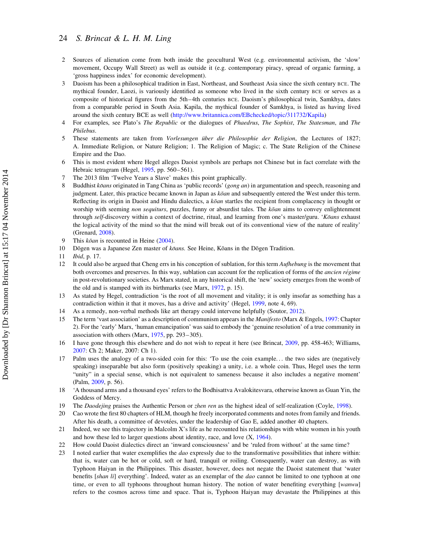- <span id="page-24-0"></span>2 Sources of alienation come from both inside the geocultural West (e.g. environmental activism, the 'slow' movement, Occupy Wall Street) as well as outside it (e.g. contemporary piracy, spread of organic farming, a 'gross happiness index' for economic development).
- 3 Daoism has been a philosophical tradition in East, Northeast, and Southeast Asia since the sixth century BCE. The mythical founder, Laozi, is variously identified as someone who lived in the sixth century BCE or serves as a composite of historical figures from the 5th–4th centuries BCE. Daoism's philosophical twin, Samkhya, dates from a comparable period in South Asia. Kapila, the mythical founder of Samkhya, is listed as having lived around the sixth century BCE as well ([http://www.britannica.com/EBchecked/topic/311732/Kapila\)](http://www.britannica.com/EBchecked/topic/311732/Kapila)
- 4 For examples, see Plato's The Republic or the dialogues of Phaedrus, The Sophist, The Statesman, and The Philebus.
- 5 These statements are taken from Vorlesungen über die Philosophie der Religion, the Lectures of 1827; A. Immediate Religion, or Nature Religion; 1. The Religion of Magic; c. The State Religion of the Chinese Empire and the Dao.
- This is most evident where Hegel alleges Daoist symbols are perhaps not Chinese but in fact correlate with the Hebraic tetragram (Hegel, [1995,](#page-25-0) pp. 560–561).
- 7 The 2013 film 'Twelve Years a Slave' makes this point graphically.
- 8 Buddhist  $k\bar{o}ans$  originated in Tang China as 'public records' (gong an) in argumentation and speech, reasoning and judgment. Later, this practice became known in Japan as  $k\bar{o}an$  and subsequently entered the West under this term. Reflecting its origin in Daoist and Hindu dialectics, a  $k\bar{o}an$  startles the recipient from complacency in thought or worship with seeming non sequiturs, puzzles, funny or absurdist tales. The koan aims to convey enlightenment through self-discovery within a context of doctrine, ritual, and learning from one's master/guru. 'Koans exhaust the logical activity of the mind so that the mind will break out of its conventional view of the nature of reality' (Grenard, [2008](#page-25-0)).
- 9 This  $k\bar{o}an$  is recounted in Heine ([2004\)](#page-26-0).
- 10 Dōgen was a Japanese Zen master of  $k\bar{o}$ ans. See Heine, Kōans in the Dōgen Tradition.
- 11 Ibid, p. 17.
- 12 It could also be argued that Cheng errs in his conception of sublation, for this term Aufhebung is the movement that both overcomes and preserves. In this way, sublation can account for the replication of forms of the *ancien régime* in post-revolutionary societies. As Marx stated, in any historical shift, the 'new' society emerges from the womb of the old and is stamped with its birthmarks (see Marx, [1972,](#page-26-0) p. 15).
- 13 As stated by Hegel, contradiction 'is the root of all movement and vitality; it is only insofar as something has a contradiction within it that it moves, has a drive and activity' (Hegel, [1999,](#page-25-0) note 4, 69).
- 14 As a remedy, non-verbal methods like art therapy could intervene helpfully (Soutor, [2012\)](#page-26-0).
- 15 The term 'vast association' as a description of communism appears in the Manifesto (Marx & Engels, [1997:](#page-26-0) Chapter 2). For the 'early' Marx, 'human emancipation' was said to embody the 'genuine resolution' of a true community in association with others (Marx, [1975](#page-26-0), pp. 293–305).
- 16 I have gone through this elsewhere and do not wish to repeat it here (see Brincat, [2009,](#page-25-0) pp. 458-463; Williams, [2007:](#page-26-0) Ch 2; Maker, 2007: Ch 1).
- 17 Palm uses the analogy of a two-sided coin for this: 'To use the coin example... the two sides are (negatively speaking) inseparable but also form (positively speaking) a unity, i.e. a whole coin. Thus, Hegel uses the term "unity" in a special sense, which is not equivalent to sameness because it also includes a negative moment' (Palm, [2009](#page-26-0), p. 56).
- 18 'A thousand arms and a thousand eyes' refers to the Bodhisattva Avalokitesvara, otherwise known as Guan Yin, the Goddess of Mercy.
- 19 The Daodejing praises the Authentic Person or *zhen ren* as the highest ideal of self-realization (Coyle, [1998](#page-25-0)).
- 20 Cao wrote the first 80 chapters of HLM, though he freely incorporated comments and notes from family and friends. After his death, a committee of devotées, under the leadership of Gao E, added another 40 chapters.
- 21 Indeed, we see this trajectory in Malcolm X's life as he recounted his relationships with white women in his youth and how these led to larger questions about identity, race, and love (X, [1964\)](#page-26-0).
- 22 How could Daoist dialectics direct an 'inward consciousness' and be 'ruled from without' at the same time?
- 23 I noted earlier that water exemplifies the *dao* expressly due to the transformative possibilities that inhere within: that is, water can be hot or cold, soft or hard, tranquil or roiling. Consequently, water can destroy, as with Typhoon Haiyan in the Philippines. This disaster, however, does not negate the Daoist statement that 'water benefits [shan li] everything'. Indeed, water as an exemplar of the *dao* cannot be limited to one typhoon at one time, or even to all typhoons throughout human history. The notion of water benefiting everything [wanwu] refers to the cosmos across time and space. That is, Typhoon Haiyan may devastate the Philippines at this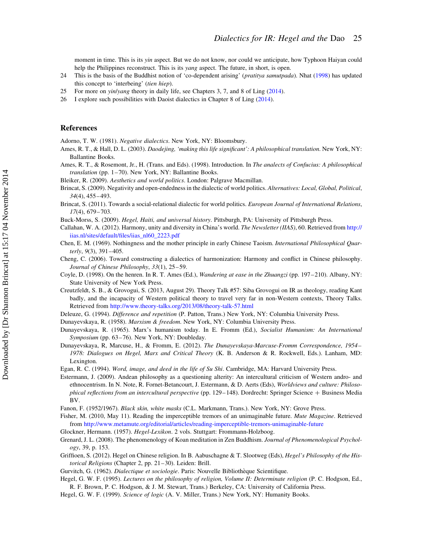<span id="page-25-0"></span>moment in time. This is its yin aspect. But we do not know, nor could we anticipate, how Typhoon Haiyan could help the Philippines reconstruct. This is its *yang* aspect. The future, in short, is open.

- 24 This is the basis of the Buddhist notion of 'co-dependent arising' (pratitya samutpada). Nhat ([1998\)](#page-26-0) has updated this concept to 'interbeing' (tien hiep).
- 25 For more on yin/yang theory in daily life, see Chapters 3, 7, and 8 of Ling [\(2014](#page-26-0)).
- 26 I explore such possibilities with Daoist dialectics in Chapter 8 of Ling [\(2014](#page-26-0)).

#### References

Adorno, T. W. (1981). Negative dialectics. New York, NY: Bloomsbury.

- Ames, R. T., & Hall, D. L. (2003). Daodejing, 'making this life significant': A philosophical translation. New York, NY: Ballantine Books.
- Ames, R. T., & Rosemont, Jr., H. (Trans. and Eds). (1998). Introduction. In The analects of Confucius: A philosophical translation (pp. 1–70). New York, NY: Ballantine Books.
- Bleiker, R. (2009). Aesthetics and world politics. London: Palgrave Macmillan.
- Brincat, S. (2009). Negativity and open-endedness in the dialectic of world politics. Alternatives: Local, Global, Political, 34(4), 455–493.
- Brincat, S. (2011). Towards a social-relational dialectic for world politics. European Journal of International Relations, 17(4), 679–703.
- Buck-Morss, S. (2009). Hegel, Haiti, and universal history. Pittsburgh, PA: University of Pittsburgh Press.
- Callahan, W. A. (2012). Harmony, unity and diversity in China's world. The Newsletter (IIAS), 60. Retrieved from [http://](http://iias.nl/sites/default/files/iias_nl60_2223.pdf) [iias.nl/sites/default/files/iias\\_nl60\\_2223.pdf](http://iias.nl/sites/default/files/iias_nl60_2223.pdf)
- Chen, E. M. (1969). Nothingness and the mother principle in early Chinese Taoism. International Philosophical Quarterly, 9(3), 391–405.
- Cheng, C. (2006). Toward constructing a dialectics of harmonization: Harmony and conflict in Chinese philosophy. Journal of Chinese Philosophy, 33(1), 25–59.
- Coyle, D. (1998). On the henren. In R. T. Ames (Ed.), Wandering at ease in the Zhuangzi (pp. 197–210). Albany, NY: State University of New York Press.
- Creutzfeldt, S. B., & Grovogui, S. (2013, August 29). Theory Talk #57: Siba Grovogui on IR as theology, reading Kant badly, and the incapacity of Western political theory to travel very far in non-Western contexts, Theory Talks. Retrieved from <http://www.theory-talks.org/2013/08/theory-talk-57.html>
- Deleuze, G. (1994). Difference and repetition (P. Patton, Trans.) New York, NY: Columbia University Press.
- Dunayevskaya, R. (1958). Marxism & freedom. New York, NY: Columbia University Press.
- Dunayevskaya, R. (1965). Marx's humanism today. In E. Fromm (Ed.), Socialist Humanism: An International Symposium (pp. 63-76). New York, NY: Doubleday.
- Dunayevskaya, R, Marcuse, H., & Fromm, E. (2012). The Dunayevskaya-Marcuse-Fromm Correspondence, 1954– 1978: Dialogues on Hegel, Marx and Critical Theory (K. B. Anderson & R. Rockwell, Eds.). Lanham, MD: **Lexington**
- Egan, R. C. (1994). Word, image, and deed in the life of Su Shi. Cambridge, MA: Harvard University Press.
- Estermann, J. (2009). Andean philosophy as a questioning alterity: An intercultural criticism of Western andro- and ethnocentrism. In N. Note, R. Fornet-Betancourt, J. Estermann, & D. Aerts (Eds), Worldviews and culture: Philosophical reflections from an intercultural perspective (pp. 129–148). Dordrecht: Springer Science + Business Media BV.

Fanon, F. (1952/1967). Black skin, white masks (C.L. Markmann, Trans.). New York, NY: Grove Press.

- Fisher, M. (2010, May 11). Reading the imperceptible tremors of an unimaginable future. Mute Magazine. Retrieved from <http://www.metamute.org/editorial/articles/reading-imperceptible-tremors-unimaginable-future>
- Glockner, Hermann. (1957). Hegel-Lexikon. 2 vols. Stuttgart: Frommann-Holzboog.
- Grenard, J. L. (2008). The phenomenology of Koan meditation in Zen Buddhism. Journal of Phenomenological Psychology, 39, p. 153.
- Griffioen, S. (2012). Hegel on Chinese religion. In B. Aabuschagne & T. Slootweg (Eds), Hegel's Philosophy of the Historical Religions (Chapter 2, pp. 21–30). Leiden: Brill.
- Gurvitch, G. (1962). Dialectique et sociologie. Paris: Nouvelle Bibliothèque Scientifique.
- Hegel, G. W. F. (1995). Lectures on the philosophy of religion, Volume II: Determinate religion (P. C. Hodgson, Ed., R. F. Brown, P. C. Hodgson, & J. M. Stewart, Trans.) Berkeley, CA: University of California Press.
- Hegel, G. W. F. (1999). Science of logic (A. V. Miller, Trans.) New York, NY: Humanity Books.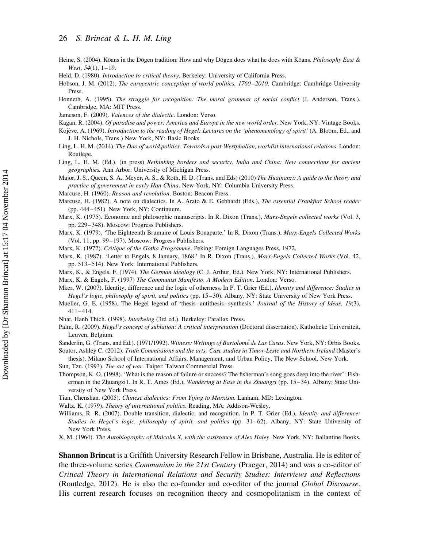- <span id="page-26-0"></span>Heine, S. (2004). Kōans in the Dōgen tradition: How and why Dōgen does what he does with Kōans. *Philosophy East &*  $West, 54(1), 1-19$
- Held, D. (1980). Introduction to critical theory. Berkeley: University of California Press.
- Hobson, J. M. (2012). The eurocentric conception of world politics, 1760–2010. Cambridge: Cambridge University Press.
- Honneth, A. (1995). The struggle for recognition: The moral grammar of social conflict (J. Anderson, Trans.). Cambridge, MA: MIT Press.
- Jameson, F. (2009). Valences of the dialectic. London: Verso.
- Kagan, R. (2004). Of paradise and power: America and Europe in the new world order. New York, NY: Vintage Books.
- Kojève, A. (1969). Introduction to the reading of Hegel: Lectures on the 'phenomenology of spirit' (A. Bloom, Ed., and J. H. Nichols, Trans.) New York, NY: Basic Books.
- Ling, L. H. M. (2014). The Dao of world politics: Towards a post-Westphalian, worldist international relations. London: Routlege.
- Ling, L. H. M. (Ed.). (in press) Rethinking borders and security, India and China: New connections for ancient geographies. Ann Arbor: University of Michigan Press.
- Major, J. S., Queen, S. A., Meyer, A. S., & Roth, H. D. (Trans. and Eds) (2010) The Huainanzi: A guide to the theory and practice of government in early Han China. New York, NY: Columbia University Press.
- Marcuse, H. (1960). Reason and revolution. Boston: Beacon Press.
- Marcuse, H. (1982). A note on dialectics. In A. Arato & E. Gebhardt (Eds.), The essential Frankfurt School reader (pp. 444–451). New York, NY: Continuum.
- Marx, K. (1975). Economic and philosophic manuscripts. In R. Dixon (Trans.), *Marx-Engels collected works* (Vol. 3, pp. 229–348). Moscow: Progress Publishers.
- Marx, K. (1979). 'The Eighteenth Brumaire of Louis Bonaparte.' In R. Dixon (Trans.), Marx-Engels Collected Works (Vol. 11, pp. 99–197). Moscow: Progress Publishers.
- Marx, K. (1972). Critique of the Gotha Programme. Peking: Foreign Languages Press, 1972.
- Marx, K. (1987). 'Letter to Engels. 8 January, 1868.' In R. Dixon (Trans.), Marx-Engels Collected Works (Vol. 42, pp. 513–514). New York: International Publishers.
- Marx, K., & Engels, F. (1974). The German ideology (C. J. Arthur, Ed.). New York, NY: International Publishers.
- Marx, K. & Engels, F. (1997) The Communist Manifesto, A Modern Edition. London: Verso.
- Mker, W. (2007). Identity, difference and the logic of otherness. In P. T. Grier (Ed.), *Identity and difference: Studies in* Hegel's logic, philosophy of spirit, and politics (pp. 15–30). Albany, NY: State University of New York Press.
- Mueller, G. E. (1958). The Hegel legend of 'thesis-antithesis-synthesis.' Journal of the History of Ideas, 19(3), 411–414.
- Nhat, Hanh Thich. (1998). Interbeing (3rd ed.). Berkeley: Parallax Press.
- Palm, R. (2009). Hegel's concept of sublation: A critical interpretation (Doctoral dissertation). Katholieke Universiteit, Leuven, Belgium.
- Sanderlin, G. (Trans. and Ed.). (1971/1992). Witness: Writings of Bartolomé de Las Casas. New York, NY: Orbis Books. Soutor, Ashley C. (2012). Truth Commissions and the arts: Case studies in Timor-Leste and Northern Ireland (Master's
	- thesis). Milano School of International Affairs, Management, and Urban Policy, The New School, New York.
- Sun, Tzu. (1993). The art of war. Taipei: Taiwan Commercial Press.
- Thompson, K. O. (1998). 'What is the reason of failure or success? The fisherman's song goes deep into the river': Fishermen in the Zhuangzi1. In R. T. Ames (Ed.), Wandering at Ease in the Zhuangzi (pp. 15–34). Albany: State University of New York Press.
- Tian, Chenshan. (2005). Chinese dialectics: From Yijing to Marxism. Lanham, MD: Lexington.
- Waltz, K. (1979). Theory of international politics. Reading, MA: Addison-Wesley.
- Williams, R. R. (2007). Double transition, dialectic, and recognition. In P. T. Grier (Ed.), Identity and difference: Studies in Hegel's logic, philosophy of spirit, and politics (pp. 31–62). Albany, NY: State University of New York Press.
- X, M. (1964). The Autobiography of Malcolm X, with the assistance of Alex Haley. New York, NY: Ballantine Books.

Shannon Brincat is a Griffith University Research Fellow in Brisbane, Australia. He is editor of the three-volume series Communism in the 21st Century (Praeger, 2014) and was a co-editor of Critical Theory in International Relations and Security Studies: Interviews and Reflections (Routledge, 2012). He is also the co-founder and co-editor of the journal Global Discourse. His current research focuses on recognition theory and cosmopolitanism in the context of